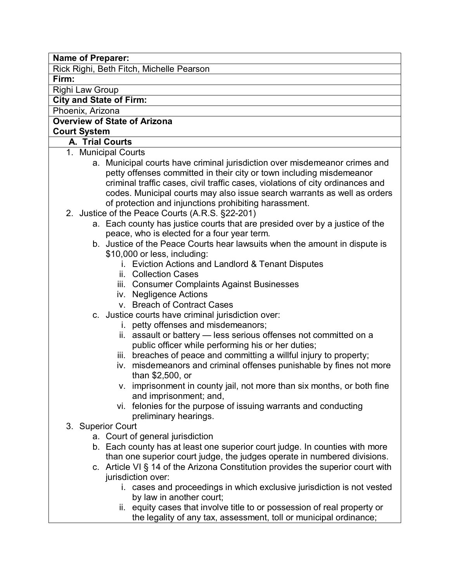#### **Name of Preparer:**

Rick Righi, Beth Fitch, Michelle Pearson

**Firm:**

Righi Law Group

### **City and State of Firm:**

Phoenix, Arizona

# **Overview of State of Arizona Court System**

# **A. Trial Courts**

- 1. Municipal Courts
	- a. Municipal courts have criminal jurisdiction over misdemeanor crimes and petty offenses committed in their city or town including misdemeanor criminal traffic cases, civil traffic cases, violations of city ordinances and codes. Municipal courts may also issue search warrants as well as orders of protection and injunctions prohibiting harassment.
- 2. Justice of the Peace Courts (A.R.S. §22-201)
	- a. Each county has justice courts that are presided over by a justice of the peace, who is elected for a four year term.
	- b. Justice of the Peace Courts hear lawsuits when the amount in dispute is \$10,000 or less, including:
		- i. Eviction Actions and Landlord & Tenant Disputes
		- ii. Collection Cases
		- iii. Consumer Complaints Against Businesses
		- iv. Negligence Actions
		- v. Breach of Contract Cases
	- c. Justice courts have criminal jurisdiction over:
		- i. petty offenses and misdemeanors;
		- ii. assault or battery less serious offenses not committed on a public officer while performing his or her duties;
		- iii. breaches of peace and committing a willful injury to property;
		- iv. misdemeanors and criminal offenses punishable by fines not more than \$2,500, or
		- v. imprisonment in county jail, not more than six months, or both fine and imprisonment; and,
		- vi. felonies for the purpose of issuing warrants and conducting preliminary hearings.
- 3. Superior Court
	- a. Court of general jurisdiction
	- b. Each county has at least one superior court judge. In counties with more than one superior court judge, the judges operate in numbered divisions.
	- c. Article VI § 14 of the Arizona Constitution provides the superior court with jurisdiction over:
		- i. cases and proceedings in which exclusive jurisdiction is not vested by law in another court;
		- ii. equity cases that involve title to or possession of real property or the legality of any tax, assessment, toll or municipal ordinance;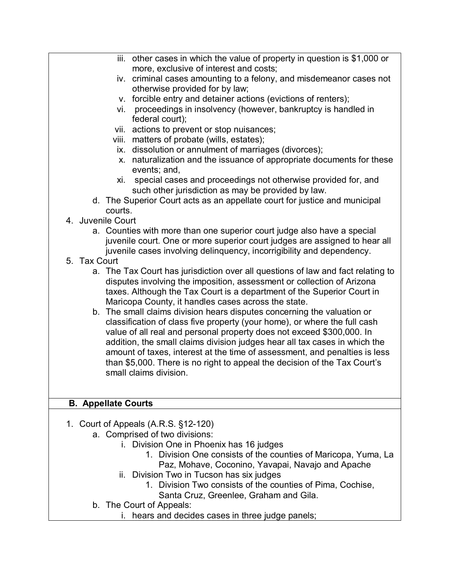| iii. other cases in which the value of property in question is \$1,000 or                                                                                |
|----------------------------------------------------------------------------------------------------------------------------------------------------------|
| more, exclusive of interest and costs;<br>iv. criminal cases amounting to a felony, and misdemeanor cases not                                            |
| otherwise provided for by law;                                                                                                                           |
| v. forcible entry and detainer actions (evictions of renters);                                                                                           |
| vi. proceedings in insolvency (however, bankruptcy is handled in                                                                                         |
| federal court);                                                                                                                                          |
| vii. actions to prevent or stop nuisances;                                                                                                               |
| viii. matters of probate (wills, estates);                                                                                                               |
| ix. dissolution or annulment of marriages (divorces);<br>x. naturalization and the issuance of appropriate documents for these                           |
| events; and,                                                                                                                                             |
| special cases and proceedings not otherwise provided for, and<br>Xİ.                                                                                     |
| such other jurisdiction as may be provided by law.                                                                                                       |
| d. The Superior Court acts as an appellate court for justice and municipal                                                                               |
| courts.                                                                                                                                                  |
| 4. Juvenile Court                                                                                                                                        |
| a. Counties with more than one superior court judge also have a special                                                                                  |
| juvenile court. One or more superior court judges are assigned to hear all                                                                               |
| juvenile cases involving delinquency, incorrigibility and dependency.<br>5. Tax Court                                                                    |
| a. The Tax Court has jurisdiction over all questions of law and fact relating to                                                                         |
| disputes involving the imposition, assessment or collection of Arizona                                                                                   |
| taxes. Although the Tax Court is a department of the Superior Court in                                                                                   |
| Maricopa County, it handles cases across the state.                                                                                                      |
| b. The small claims division hears disputes concerning the valuation or                                                                                  |
| classification of class five property (your home), or where the full cash                                                                                |
| value of all real and personal property does not exceed \$300,000. In                                                                                    |
| addition, the small claims division judges hear all tax cases in which the<br>amount of taxes, interest at the time of assessment, and penalties is less |
| than \$5,000. There is no right to appeal the decision of the Tax Court's                                                                                |
| small claims division.                                                                                                                                   |
|                                                                                                                                                          |
|                                                                                                                                                          |
| <b>B. Appellate Courts</b>                                                                                                                               |
|                                                                                                                                                          |
| 1. Court of Appeals (A.R.S. §12-120)<br>a. Comprised of two divisions:                                                                                   |
| i. Division One in Phoenix has 16 judges                                                                                                                 |
| 1. Division One consists of the counties of Maricopa, Yuma, La                                                                                           |
| Paz, Mohave, Coconino, Yavapai, Navajo and Apache                                                                                                        |
| ii. Division Two in Tucson has six judges                                                                                                                |
| 1. Division Two consists of the counties of Pima, Cochise,                                                                                               |
| Santa Cruz, Greenlee, Graham and Gila.                                                                                                                   |

- b. The Court of Appeals:
	- i. hears and decides cases in three judge panels;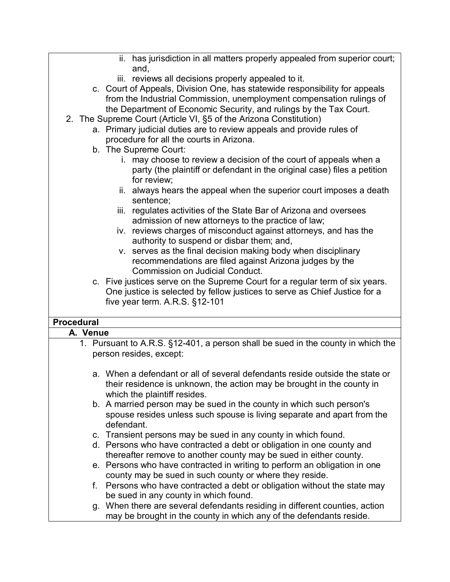- ii. has jurisdiction in all matters properly appealed from superior court; and,
- iii. reviews all decisions properly appealed to it.
- c. Court of Appeals, Division One, has statewide responsibility for appeals from the Industrial Commission, unemployment compensation rulings of the Department of Economic Security, and rulings by the Tax Court.
- 2. The Supreme Court (Article VI, §5 of the Arizona Constitution)
	- a. Primary judicial duties are to review appeals and provide rules of procedure for all the courts in Arizona.
	- b. The Supreme Court:
		- i. may choose to review a decision of the court of appeals when a party (the plaintiff or defendant in the original case) files a petition for review;
		- ii. always hears the appeal when the superior court imposes a death sentence;
		- iii. regulates activities of the State Bar of Arizona and oversees admission of new attorneys to the practice of law;
		- iv. reviews charges of misconduct against attorneys, and has the authority to suspend or disbar them; and,
		- v. serves as the final decision making body when disciplinary recommendations are filed against Arizona judges by the Commission on Judicial Conduct.
	- c. Five justices serve on the Supreme Court for a regular term of six years. One justice is selected by fellow justices to serve as Chief Justice for a five year term. A.R.S. §12-101

# **Procedural**

#### **A. Venue**

- 1. Pursuant to A.R.S. §12-401, a person shall be sued in the county in which the person resides, except:
	- a. When a defendant or all of several defendants reside outside the state or their residence is unknown, the action may be brought in the county in which the plaintiff resides.
	- b. A married person may be sued in the county in which such person's spouse resides unless such spouse is living separate and apart from the defendant.
	- c. Transient persons may be sued in any county in which found.
	- d. Persons who have contracted a debt or obligation in one county and thereafter remove to another county may be sued in either county.
	- e. Persons who have contracted in writing to perform an obligation in one county may be sued in such county or where they reside.
	- f. Persons who have contracted a debt or obligation without the state may be sued in any county in which found.
	- g. When there are several defendants residing in different counties, action may be brought in the county in which any of the defendants reside.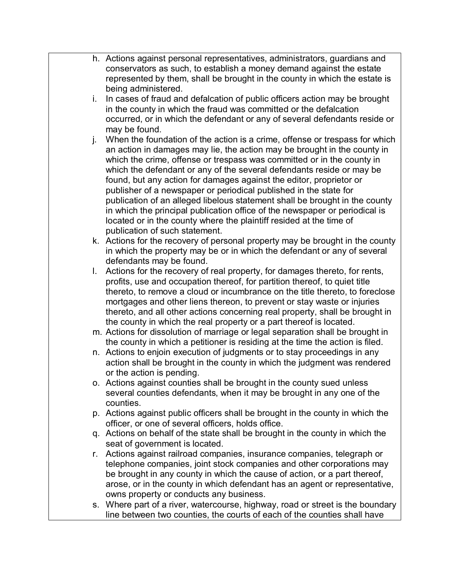- h. Actions against personal representatives, administrators, guardians and conservators as such, to establish a money demand against the estate represented by them, shall be brought in the county in which the estate is being administered.
- i. In cases of fraud and defalcation of public officers action may be brought in the county in which the fraud was committed or the defalcation occurred, or in which the defendant or any of several defendants reside or may be found.
- j. When the foundation of the action is a crime, offense or trespass for which an action in damages may lie, the action may be brought in the county in which the crime, offense or trespass was committed or in the county in which the defendant or any of the several defendants reside or may be found, but any action for damages against the editor, proprietor or publisher of a newspaper or periodical published in the state for publication of an alleged libelous statement shall be brought in the county in which the principal publication office of the newspaper or periodical is located or in the county where the plaintiff resided at the time of publication of such statement.
- k. Actions for the recovery of personal property may be brought in the county in which the property may be or in which the defendant or any of several defendants may be found.
- l. Actions for the recovery of real property, for damages thereto, for rents, profits, use and occupation thereof, for partition thereof, to quiet title thereto, to remove a cloud or incumbrance on the title thereto, to foreclose mortgages and other liens thereon, to prevent or stay waste or injuries thereto, and all other actions concerning real property, shall be brought in the county in which the real property or a part thereof is located.
- m. Actions for dissolution of marriage or legal separation shall be brought in the county in which a petitioner is residing at the time the action is filed.
- n. Actions to enjoin execution of judgments or to stay proceedings in any action shall be brought in the county in which the judgment was rendered or the action is pending.
- o. Actions against counties shall be brought in the county sued unless several counties defendants, when it may be brought in any one of the counties.
- p. Actions against public officers shall be brought in the county in which the officer, or one of several officers, holds office.
- q. Actions on behalf of the state shall be brought in the county in which the seat of government is located.
- r. Actions against railroad companies, insurance companies, telegraph or telephone companies, joint stock companies and other corporations may be brought in any county in which the cause of action, or a part thereof, arose, or in the county in which defendant has an agent or representative, owns property or conducts any business.
- s. Where part of a river, watercourse, highway, road or street is the boundary line between two counties, the courts of each of the counties shall have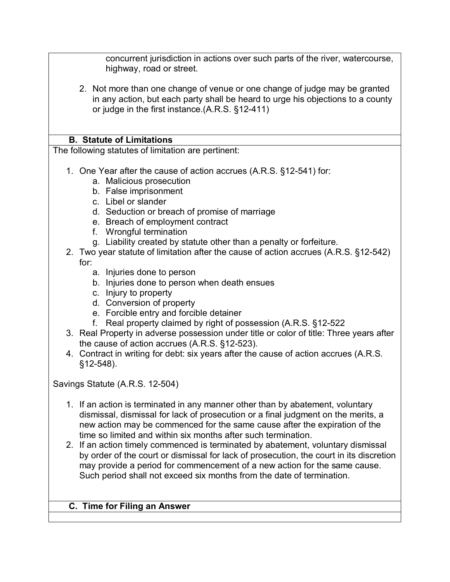concurrent jurisdiction in actions over such parts of the river, watercourse, highway, road or street.

2. Not more than one change of venue or one change of judge may be granted in any action, but each party shall be heard to urge his objections to a county or judge in the first instance.(A.R.S. §12-411)

## **B. Statute of Limitations**

The following statutes of limitation are pertinent:

- 1. One Year after the cause of action accrues (A.R.S. §12-541) for:
	- a. Malicious prosecution
	- b. False imprisonment
	- c. Libel or slander
	- d. Seduction or breach of promise of marriage
	- e. Breach of employment contract
	- f. Wrongful termination
	- g. Liability created by statute other than a penalty or forfeiture.
- 2. Two year statute of limitation after the cause of action accrues (A.R.S. §12-542) for:
	- a. Injuries done to person
	- b. Injuries done to person when death ensues
	- c. Injury to property
	- d. Conversion of property
	- e. Forcible entry and forcible detainer
	- f. Real property claimed by right of possession (A.R.S. §12-522
- 3. Real Property in adverse possession under title or color of title: Three years after the cause of action accrues (A.R.S. §12-523).
- 4. Contract in writing for debt: six years after the cause of action accrues (A.R.S. §12-548).

Savings Statute (A.R.S. 12-504)

- 1. If an action is terminated in any manner other than by abatement, voluntary dismissal, dismissal for lack of prosecution or a final judgment on the merits, a new action may be commenced for the same cause after the expiration of the time so limited and within six months after such termination.
- 2. If an action timely commenced is terminated by abatement, voluntary dismissal by order of the court or dismissal for lack of prosecution, the court in its discretion may provide a period for commencement of a new action for the same cause. Such period shall not exceed six months from the date of termination.

## **C. Time for Filing an Answer**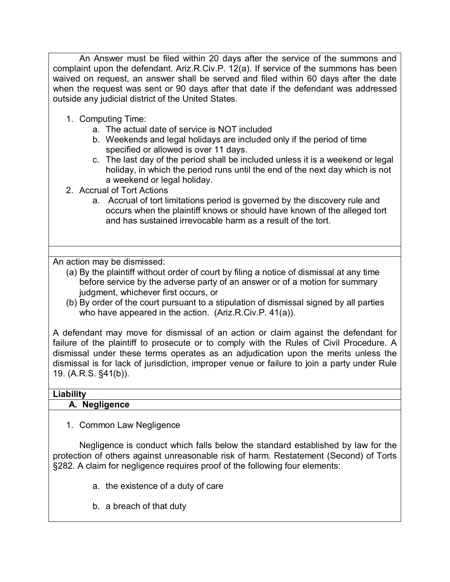An Answer must be filed within 20 days after the service of the summons and complaint upon the defendant. Ariz.R.Civ.P. 12(a). If service of the summons has been waived on request, an answer shall be served and filed within 60 days after the date when the request was sent or 90 days after that date if the defendant was addressed outside any judicial district of the United States.

- 1. Computing Time:
	- a. The actual date of service is NOT included
	- b. Weekends and legal holidays are included only if the period of time specified or allowed is over 11 days.
	- c. The last day of the period shall be included unless it is a weekend or legal holiday, in which the period runs until the end of the next day which is not a weekend or legal holiday.
- 2. Accrual of Tort Actions
	- a. Accrual of tort limitations period is governed by the discovery rule and occurs when the plaintiff knows or should have known of the alleged tort and has sustained irrevocable harm as a result of the tort.

An action may be dismissed:

- (a) By the plaintiff without order of court by filing a notice of dismissal at any time before service by the adverse party of an answer or of a motion for summary judgment, whichever first occurs, or
- (b) By order of the court pursuant to a stipulation of dismissal signed by all parties who have appeared in the action. (Ariz.R.Civ.P. 41(a)).

A defendant may move for dismissal of an action or claim against the defendant for failure of the plaintiff to prosecute or to comply with the Rules of Civil Procedure. A dismissal under these terms operates as an adjudication upon the merits unless the dismissal is for lack of jurisdiction, improper venue or failure to join a party under Rule 19. (A.R.S. §41(b)).

## **Liability**

# **A. Negligence**

1. Common Law Negligence

Negligence is conduct which falls below the standard established by law for the protection of others against unreasonable risk of harm. Restatement (Second) of Torts §282. A claim for negligence requires proof of the following four elements:

- a. the existence of a duty of care
- b. a breach of that duty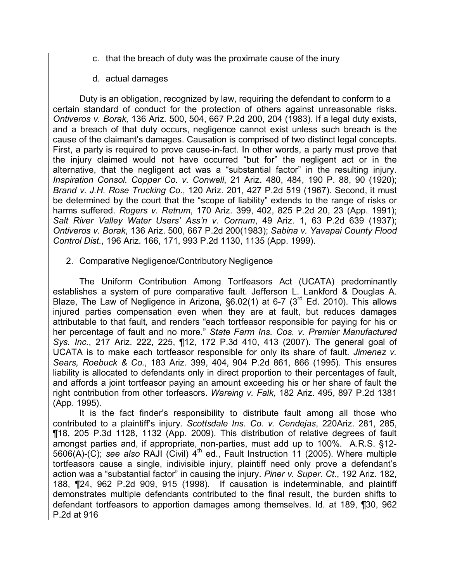- c. that the breach of duty was the proximate cause of the inury
- d. actual damages

Duty is an obligation, recognized by law, requiring the defendant to conform to a certain standard of conduct for the protection of others against unreasonable risks. *Ontiveros v. Borak,* 136 Ariz. 500, 504, 667 P.2d 200, 204 (1983). If a legal duty exists, and a breach of that duty occurs, negligence cannot exist unless such breach is the cause of the claimant's damages. Causation is comprised of two distinct legal concepts. First, a party is required to prove cause-in-fact. In other words, a party must prove that the injury claimed would not have occurred "but for" the negligent act or in the alternative, that the negligent act was a "substantial factor" in the resulting injury. *Inspiration Consol. Copper Co. v. Conwell*, 21 Ariz. 480, 484, 190 P. 88, 90 (1920); *Brand v. J.H. Rose Trucking Co*., 120 Ariz. 201, 427 P.2d 519 (1967). Second, it must be determined by the court that the "scope of liability" extends to the range of risks or harms suffered. *Rogers v. Retrum*, 170 Ariz. 399, 402, 825 P.2d 20, 23 (App. 1991); *Salt River Valley Water Users' Ass'n v. Cornum*, 49 Ariz. 1, 63 P.2d 639 (1937); *Ontiveros v. Borak*, 136 Ariz. 500, 667 P.2d 200(1983); *Sabina v. Yavapai County Flood Control Dist.*, 196 Ariz. 166, 171, 993 P.2d 1130, 1135 (App. 1999).

2. Comparative Negligence/Contributory Negligence

The Uniform Contribution Among Tortfeasors Act (UCATA) predominantly establishes a system of pure comparative fault. Jefferson L. Lankford & Douglas A. Blaze, The Law of Negligence in Arizona,  $\S6.02(1)$  at 6-7 ( $3<sup>rd</sup>$  Ed. 2010). This allows injured parties compensation even when they are at fault, but reduces damages attributable to that fault, and renders "each tortfeasor responsible for paying for his or her percentage of fault and no more." *State Farm Ins. Cos. v. Premier Manufactured Sys. Inc.*, 217 Ariz. 222, 225, ¶12, 172 P.3d 410, 413 (2007). The general goal of UCATA is to make each tortfeasor responsible for only its share of fault. *Jimenez v. Sears, Roebuck & Co.*, 183 Ariz. 399, 404, 904 P.2d 861, 866 (1995). This ensures liability is allocated to defendants only in direct proportion to their percentages of fault, and affords a joint tortfeasor paying an amount exceeding his or her share of fault the right contribution from other torfeasors. *Wareing v. Falk,* 182 Ariz. 495, 897 P.2d 1381 (App. 1995).

It is the fact finder's responsibility to distribute fault among all those who contributed to a plaintiff's injury. *Scottsdale Ins. Co. v. Cendejas*, 220Ariz. 281, 285, ¶18, 205 P.3d 1128, 1132 (App. 2009). This distribution of relative degrees of fault amongst parties and, if appropriate, non-parties, must add up to 100%. A.R.S. §12- 5606(A)-(C); see also RAJI (Civil) 4<sup>th</sup> ed., Fault Instruction 11 (2005). Where multiple tortfeasors cause a single, indivisible injury, plaintiff need only prove a defendant's action was a "substantial factor" in causing the injury. *Piner v. Super. Ct*., 192 Ariz. 182, 188, ¶24, 962 P.2d 909, 915 (1998). If causation is indeterminable, and plaintiff demonstrates multiple defendants contributed to the final result, the burden shifts to defendant tortfeasors to apportion damages among themselves. Id. at 189, ¶30, 962 P.2d at 916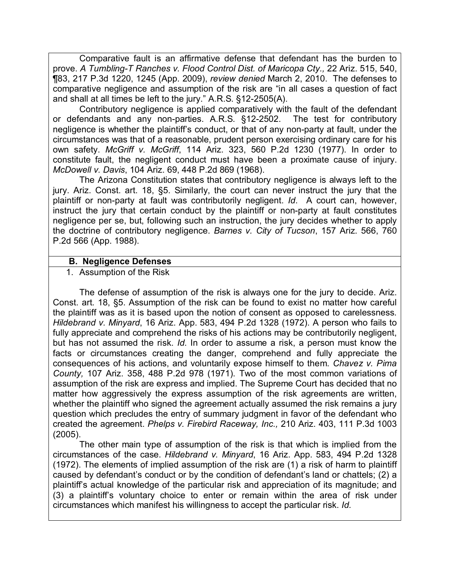Comparative fault is an affirmative defense that defendant has the burden to prove. *A Tumbling-T Ranches v. Flood Control Dist. of Maricopa Cty.,* 22 Ariz. 515, 540, ¶83, 217 P.3d 1220, 1245 (App. 2009), *review denied* March 2, 2010. The defenses to comparative negligence and assumption of the risk are "in all cases a question of fact and shall at all times be left to the jury." A.R.S. §12-2505(A).

Contributory negligence is applied comparatively with the fault of the defendant or defendants and any non-parties. A.R.S. §12-2502. The test for contributory negligence is whether the plaintiff's conduct, or that of any non-party at fault, under the circumstances was that of a reasonable, prudent person exercising ordinary care for his own safety. *McGriff v. McGriff*, 114 Ariz. 323, 560 P.2d 1230 (1977). In order to constitute fault, the negligent conduct must have been a proximate cause of injury. *McDowell v. Davis*, 104 Ariz. 69, 448 P.2d 869 (1968).

The Arizona Constitution states that contributory negligence is always left to the jury. Ariz. Const. art. 18, §5. Similarly, the court can never instruct the jury that the plaintiff or non-party at fault was contributorily negligent. *Id*. A court can, however, instruct the jury that certain conduct by the plaintiff or non-party at fault constitutes negligence per se, but, following such an instruction, the jury decides whether to apply the doctrine of contributory negligence. *Barnes v. City of Tucson*, 157 Ariz. 566, 760 P.2d 566 (App. 1988).

#### **B. Negligence Defenses**

1. Assumption of the Risk

The defense of assumption of the risk is always one for the jury to decide. Ariz. Const. art. 18, §5. Assumption of the risk can be found to exist no matter how careful the plaintiff was as it is based upon the notion of consent as opposed to carelessness. *Hildebrand v. Minyard*, 16 Ariz. App. 583, 494 P.2d 1328 (1972). A person who fails to fully appreciate and comprehend the risks of his actions may be contributorily negligent, but has not assumed the risk. *Id*. In order to assume a risk, a person must know the facts or circumstances creating the danger, comprehend and fully appreciate the consequences of his actions, and voluntarily expose himself to them. *Chavez v. Pima County,* 107 Ariz. 358, 488 P.2d 978 (1971). Two of the most common variations of assumption of the risk are express and implied. The Supreme Court has decided that no matter how aggressively the express assumption of the risk agreements are written, whether the plaintiff who signed the agreement actually assumed the risk remains a jury question which precludes the entry of summary judgment in favor of the defendant who created the agreement. *Phelps v. Firebird Raceway, Inc.,* 210 Ariz. 403, 111 P.3d 1003 (2005).

The other main type of assumption of the risk is that which is implied from the circumstances of the case. *Hildebrand v. Minyard*, 16 Ariz. App. 583, 494 P.2d 1328 (1972). The elements of implied assumption of the risk are (1) a risk of harm to plaintiff caused by defendant's conduct or by the condition of defendant's land or chattels; (2) a plaintiff's actual knowledge of the particular risk and appreciation of its magnitude; and (3) a plaintiff's voluntary choice to enter or remain within the area of risk under circumstances which manifest his willingness to accept the particular risk. *Id.*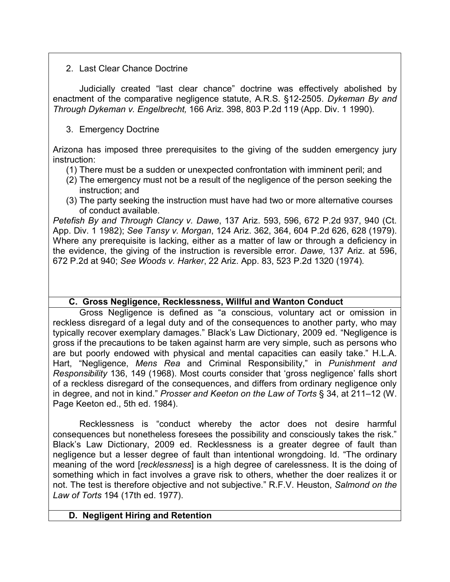# 2. Last Clear Chance Doctrine

Judicially created "last clear chance" doctrine was effectively abolished by enactment of the comparative negligence statute, A.R.S. §12-2505. *Dykeman By and Through Dykeman v. Engelbrecht,* 166 Ariz. 398, 803 P.2d 119 (App. Div. 1 1990).

# 3. Emergency Doctrine

Arizona has imposed three prerequisites to the giving of the sudden emergency jury instruction:

- (1) There must be a sudden or unexpected confrontation with imminent peril; and
- (2) The emergency must not be a result of the negligence of the person seeking the instruction; and
- (3) The party seeking the instruction must have had two or more alternative courses of conduct available.

*Petefish By and Through Clancy v. Dawe*, 137 Ariz. 593, 596, 672 P.2d 937, 940 (Ct. App. Div. 1 1982); *See Tansy v. Morgan*, 124 Ariz. 362, 364, 604 P.2d 626, 628 (1979). Where any prerequisite is lacking, either as a matter of law or through a deficiency in the evidence, the giving of the instruction is reversible error. *Dawe,* 137 Ariz. at 596, 672 P.2d at 940; *See Woods v. Harker*, 22 Ariz. App. 83, 523 P.2d 1320 (1974).

## **C. Gross Negligence, Recklessness, Willful and Wanton Conduct**

Gross Negligence is defined as "a conscious, voluntary act or omission in reckless disregard of a legal duty and of the consequences to another party, who may typically recover exemplary damages." Black's Law Dictionary, 2009 ed. "Negligence is gross if the precautions to be taken against harm are very simple, such as persons who are but poorly endowed with physical and mental capacities can easily take." H.L.A. Hart, "Negligence, *Mens Rea* and Criminal Responsibility," in *Punishment and Responsibility* 136, 149 (1968). Most courts consider that 'gross negligence' falls short of a reckless disregard of the consequences, and differs from ordinary negligence only in degree, and not in kind." *Prosser and Keeton on the Law of Torts* § 34, at 211–12 (W. Page Keeton ed., 5th ed. 1984).

Recklessness is "conduct whereby the actor does not desire harmful consequences but nonetheless foresees the possibility and consciously takes the risk." Black's Law Dictionary, 2009 ed. Recklessness is a greater degree of fault than negligence but a lesser degree of fault than intentional wrongdoing. Id. "The ordinary meaning of the word [*recklessness*] is a high degree of carelessness. It is the doing of something which in fact involves a grave risk to others, whether the doer realizes it or not. The test is therefore objective and not subjective." R.F.V. Heuston, *Salmond on the Law of Torts* 194 (17th ed. 1977).

## **D. Negligent Hiring and Retention**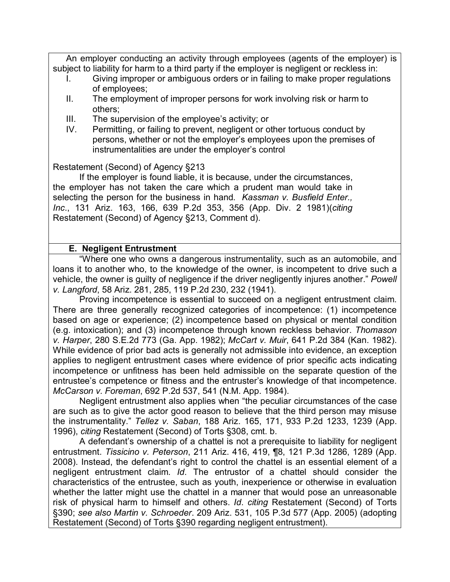An employer conducting an activity through employees (agents of the employer) is subject to liability for harm to a third party if the employer is negligent or reckless in:

- I. Giving improper or ambiguous orders or in failing to make proper regulations of employees;
- II. The employment of improper persons for work involving risk or harm to others;
- III. The supervision of the employee's activity; or
- IV. Permitting, or failing to prevent, negligent or other tortuous conduct by persons, whether or not the employer's employees upon the premises of instrumentalities are under the employer's control

Restatement (Second) of Agency §213

If the employer is found liable, it is because, under the circumstances, the employer has not taken the care which a prudent man would take in selecting the person for the business in hand. *Kassman v. Busfield Enter., Inc*., 131 Ariz. 163, 166, 639 P.2d 353, 356 (App. Div. 2 1981)(*citing* Restatement (Second) of Agency §213, Comment d).

### **E. Negligent Entrustment**

"Where one who owns a dangerous instrumentality, such as an automobile, and loans it to another who, to the knowledge of the owner, is incompetent to drive such a vehicle, the owner is guilty of negligence if the driver negligently injures another." *Powell v. Langford*, 58 Ariz. 281, 285, 119 P.2d 230, 232 (1941).

Proving incompetence is essential to succeed on a negligent entrustment claim. There are three generally recognized categories of incompetence: (1) incompetence based on age or experience; (2) incompetence based on physical or mental condition (e.g. intoxication); and (3) incompetence through known reckless behavior. *Thomason v. Harper*, 280 S.E.2d 773 (Ga. App. 1982); *McCart v. Muir*, 641 P.2d 384 (Kan. 1982). While evidence of prior bad acts is generally not admissible into evidence, an exception applies to negligent entrustment cases where evidence of prior specific acts indicating incompetence or unfitness has been held admissible on the separate question of the entrustee's competence or fitness and the entruster's knowledge of that incompetence. *McCarson v. Foreman*, 692 P.2d 537, 541 (N.M. App. 1984).

Negligent entrustment also applies when "the peculiar circumstances of the case are such as to give the actor good reason to believe that the third person may misuse the instrumentality." *Tellez v. Saban*, 188 Ariz. 165, 171, 933 P.2d 1233, 1239 (App. 1996), *citing* Restatement (Second) of Torts §308, cmt. b.

A defendant's ownership of a chattel is not a prerequisite to liability for negligent entrustment. *Tissicino v. Peterson*, 211 Ariz. 416, 419, ¶8, 121 P.3d 1286, 1289 (App. 2008). Instead, the defendant's right to control the chattel is an essential element of a negligent entrustment claim. *Id*. The entrustor of a chattel should consider the characteristics of the entrustee, such as youth, inexperience or otherwise in evaluation whether the latter might use the chattel in a manner that would pose an unreasonable risk of physical harm to himself and others. *Id*. *citing* Restatement (Second) of Torts §390; *see also Martin v. Schroeder*. 209 Ariz. 531, 105 P.3d 577 (App. 2005) (adopting Restatement (Second) of Torts §390 regarding negligent entrustment).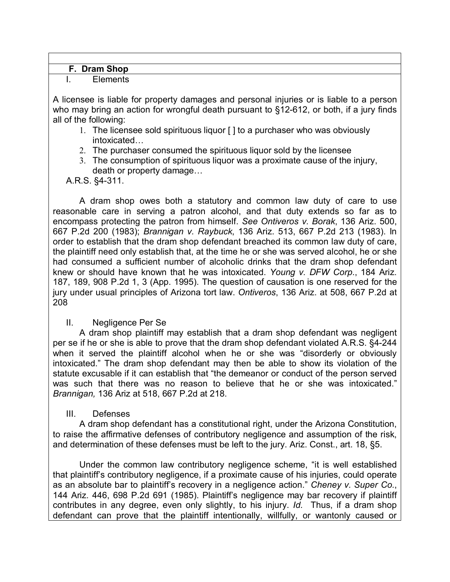#### **F. Dram Shop**

#### I. Elements

A licensee is liable for property damages and personal injuries or is liable to a person who may bring an action for wrongful death pursuant to §12-612, or both, if a jury finds all of the following:

- 1. The licensee sold spirituous liquor [ ] to a purchaser who was obviously intoxicated…
- 2. The purchaser consumed the spirituous liquor sold by the licensee
- 3. The consumption of spirituous liquor was a proximate cause of the injury, death or property damage…

A.R.S. §4-311.

A dram shop owes both a statutory and common law duty of care to use reasonable care in serving a patron alcohol, and that duty extends so far as to encompass protecting the patron from himself. *See Ontiveros v. Borak*, 136 Ariz. 500, 667 P.2d 200 (1983); *Brannigan v. Raybuck*, 136 Ariz. 513, 667 P.2d 213 (1983). In order to establish that the dram shop defendant breached its common law duty of care, the plaintiff need only establish that, at the time he or she was served alcohol, he or she had consumed a sufficient number of alcoholic drinks that the dram shop defendant knew or should have known that he was intoxicated. *Young v. DFW Corp*., 184 Ariz. 187, 189, 908 P.2d 1, 3 (App. 1995). The question of causation is one reserved for the jury under usual principles of Arizona tort law. *Ontiveros*, 136 Ariz. at 508, 667 P.2d at 208

#### II. Negligence Per Se

A dram shop plaintiff may establish that a dram shop defendant was negligent per se if he or she is able to prove that the dram shop defendant violated A.R.S. §4-244 when it served the plaintiff alcohol when he or she was "disorderly or obviously intoxicated." The dram shop defendant may then be able to show its violation of the statute excusable if it can establish that "the demeanor or conduct of the person served was such that there was no reason to believe that he or she was intoxicated." *Brannigan,* 136 Ariz at 518, 667 P.2d at 218.

## III. Defenses

A dram shop defendant has a constitutional right, under the Arizona Constitution, to raise the affirmative defenses of contributory negligence and assumption of the risk, and determination of these defenses must be left to the jury. Ariz. Const., art. 18, §5.

Under the common law contributory negligence scheme, "it is well established that plaintiff's contributory negligence, if a proximate cause of his injuries, could operate as an absolute bar to plaintiff's recovery in a negligence action." *Cheney v. Super Co.*, 144 Ariz. 446, 698 P.2d 691 (1985). Plaintiff's negligence may bar recovery if plaintiff contributes in any degree, even only slightly, to his injury. *Id.* Thus, if a dram shop defendant can prove that the plaintiff intentionally, willfully, or wantonly caused or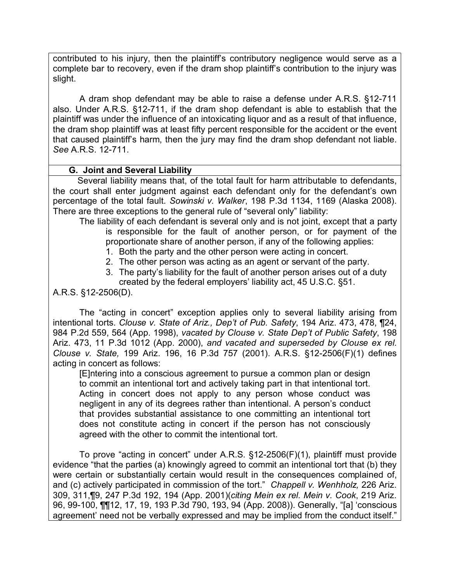contributed to his injury, then the plaintiff's contributory negligence would serve as a complete bar to recovery, even if the dram shop plaintiff's contribution to the injury was slight.

A dram shop defendant may be able to raise a defense under A.R.S. §12-711 also. Under A.R.S. §12-711, if the dram shop defendant is able to establish that the plaintiff was under the influence of an intoxicating liquor and as a result of that influence, the dram shop plaintiff was at least fifty percent responsible for the accident or the event that caused plaintiff's harm, then the jury may find the dram shop defendant not liable. *See* A.R.S. 12-711.

### **G. Joint and Several Liability**

 Several liability means that, of the total fault for harm attributable to defendants, the court shall enter judgment against each defendant only for the defendant's own percentage of the total fault. *Sowinski v. Walker*, 198 P.3d 1134, 1169 (Alaska 2008). There are three exceptions to the general rule of "several only" liability:

The liability of each defendant is several only and is not joint, except that a party is responsible for the fault of another person, or for payment of the proportionate share of another person, if any of the following applies:

- 1. Both the party and the other person were acting in concert.
- 2. The other person was acting as an agent or servant of the party.
- 3. The party's liability for the fault of another person arises out of a duty created by the federal employers' liability act, 45 U.S.C. §51.

A.R.S. §12-2506(D).

The "acting in concert" exception applies only to several liability arising from intentional torts. *Clouse v. State of Ariz., Dep't of Pub. Safety*, 194 Ariz. 473, 478, ¶24, 984 P.2d 559, 564 (App. 1998), *vacated by Clouse v. State Dep't of Public Safety*, 198 Ariz. 473, 11 P.3d 1012 (App. 2000), *and vacated and superseded by Clouse ex rel. Clouse v. State,* 199 Ariz. 196, 16 P.3d 757 (2001). A.R.S. §12-2506(F)(1) defines acting in concert as follows:

[E]ntering into a conscious agreement to pursue a common plan or design to commit an intentional tort and actively taking part in that intentional tort. Acting in concert does not apply to any person whose conduct was negligent in any of its degrees rather than intentional. A person's conduct that provides substantial assistance to one committing an intentional tort does not constitute acting in concert if the person has not consciously agreed with the other to commit the intentional tort.

To prove "acting in concert" under A.R.S. §12-2506(F)(1), plaintiff must provide evidence "that the parties (a) knowingly agreed to commit an intentional tort that (b) they were certain or substantially certain would result in the consequences complained of, and (c) actively participated in commission of the tort." *Chappell v. Wenhholz,* 226 Ariz. 309, 311,¶9, 247 P.3d 192, 194 (App. 2001)(*citing Mein ex rel. Mein v. Cook*, 219 Ariz. 96, 99-100, ¶¶12, 17, 19, 193 P.3d 790, 193, 94 (App. 2008)). Generally, "[a] 'conscious agreement' need not be verbally expressed and may be implied from the conduct itself."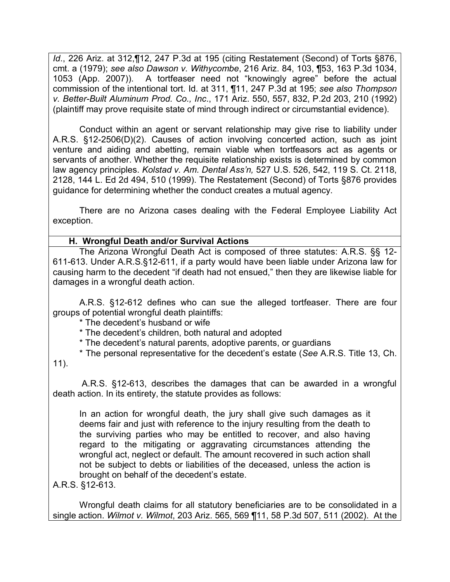*Id*., 226 Ariz. at 312,¶12, 247 P.3d at 195 (citing Restatement (Second) of Torts §876, cmt. a (1979); *see also Dawson v. Withycombe*, 216 Ariz. 84, 103, ¶53, 163 P.3d 1034, 1053 (App. 2007)). A tortfeaser need not "knowingly agree" before the actual commission of the intentional tort. Id. at 311, ¶11, 247 P.3d at 195; *see also Thompson v. Better-Built Aluminum Prod. Co., Inc*., 171 Ariz. 550, 557, 832, P.2d 203, 210 (1992) (plaintiff may prove requisite state of mind through indirect or circumstantial evidence).

Conduct within an agent or servant relationship may give rise to liability under A.R.S. §12-2506(D)(2). Causes of action involving concerted action, such as joint venture and aiding and abetting, remain viable when tortfeasors act as agents or servants of another. Whether the requisite relationship exists is determined by common law agency principles. *Kolstad v. Am. Dental Ass'n,* 527 U.S. 526, 542, 119 S. Ct. 2118, 2128, 144 L. Ed 2d 494, 510 (1999). The Restatement (Second) of Torts §876 provides guidance for determining whether the conduct creates a mutual agency.

There are no Arizona cases dealing with the Federal Employee Liability Act exception.

## **H. Wrongful Death and/or Survival Actions**

The Arizona Wrongful Death Act is composed of three statutes: A.R.S. §§ 12- 611-613. Under A.R.S.§12-611, if a party would have been liable under Arizona law for causing harm to the decedent "if death had not ensued," then they are likewise liable for damages in a wrongful death action.

A.R.S. §12-612 defines who can sue the alleged tortfeaser. There are four groups of potential wrongful death plaintiffs:

\* The decedent's husband or wife

\* The decedent's children, both natural and adopted

\* The decedent's natural parents, adoptive parents, or guardians

\* The personal representative for the decedent's estate (*See* A.R.S. Title 13, Ch. 11).

 A.R.S. §12-613, describes the damages that can be awarded in a wrongful death action. In its entirety, the statute provides as follows:

In an action for wrongful death, the jury shall give such damages as it deems fair and just with reference to the injury resulting from the death to the surviving parties who may be entitled to recover, and also having regard to the mitigating or aggravating circumstances attending the wrongful act, neglect or default. The amount recovered in such action shall not be subject to debts or liabilities of the deceased, unless the action is brought on behalf of the decedent's estate.

A.R.S. §12-613.

Wrongful death claims for all statutory beneficiaries are to be consolidated in a single action. *Wilmot v. Wilmot*, 203 Ariz. 565, 569 ¶11, 58 P.3d 507, 511 (2002). At the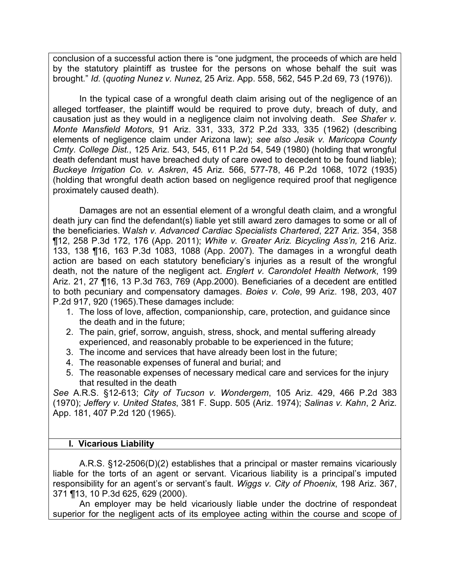conclusion of a successful action there is "one judgment, the proceeds of which are held by the statutory plaintiff as trustee for the persons on whose behalf the suit was brought." *Id.* (*quoting Nunez v. Nunez*, 25 Ariz. App. 558, 562, 545 P.2d 69, 73 (1976)).

In the typical case of a wrongful death claim arising out of the negligence of an alleged tortfeaser, the plaintiff would be required to prove duty, breach of duty, and causation just as they would in a negligence claim not involving death. *See Shafer v. Monte Mansfield Motors*, 91 Ariz. 331, 333, 372 P.2d 333, 335 (1962) (describing elements of negligence claim under Arizona law); *see also Jesik v. Maricopa County Cmty. College Dist.*, 125 Ariz. 543, 545, 611 P.2d 54, 549 (1980) (holding that wrongful death defendant must have breached duty of care owed to decedent to be found liable); *Buckeye Irrigation Co. v. Askren*, 45 Ariz. 566, 577-78, 46 P.2d 1068, 1072 (1935) (holding that wrongful death action based on negligence required proof that negligence proximately caused death).

Damages are not an essential element of a wrongful death claim, and a wrongful death jury can find the defendant(s) liable yet still award zero damages to some or all of the beneficiaries. W*alsh v. Advanced Cardiac Specialists Chartered*, 227 Ariz. 354, 358 ¶12, 258 P.3d 172, 176 (App. 2011); *White v. Greater Ariz. Bicycling Ass'n,* 216 Ariz. 133, 138 ¶16, 163 P.3d 1083, 1088 (App. 2007). The damages in a wrongful death action are based on each statutory beneficiary's injuries as a result of the wrongful death, not the nature of the negligent act. *Englert v. Carondolet Health Network*, 199 Ariz. 21, 27 ¶16, 13 P.3d 763, 769 (App.2000). Beneficiaries of a decedent are entitled to both pecuniary and compensatory damages. *Boies v. Cole*, 99 Ariz. 198, 203, 407 P.2d 917, 920 (1965).These damages include:

- 1. The loss of love, affection, companionship, care, protection, and guidance since the death and in the future;
- 2. The pain, grief, sorrow, anguish, stress, shock, and mental suffering already experienced, and reasonably probable to be experienced in the future;
- 3. The income and services that have already been lost in the future;
- 4. The reasonable expenses of funeral and burial; and
- 5. The reasonable expenses of necessary medical care and services for the injury that resulted in the death

*See* A.R.S. §12-613; *City of Tucson v. Wondergem*, 105 Ariz. 429, 466 P.2d 383 (1970); *Jeffery v. United States*, 381 F. Supp. 505 (Ariz. 1974); *Salinas v. Kahn*, 2 Ariz. App. 181, 407 P.2d 120 (1965).

## **I. Vicarious Liability**

A.R.S. §12-2506(D)(2) establishes that a principal or master remains vicariously liable for the torts of an agent or servant. Vicarious liability is a principal's imputed responsibility for an agent's or servant's fault. *Wiggs v. City of Phoenix*, 198 Ariz. 367, 371 ¶13, 10 P.3d 625, 629 (2000).

An employer may be held vicariously liable under the doctrine of respondeat superior for the negligent acts of its employee acting within the course and scope of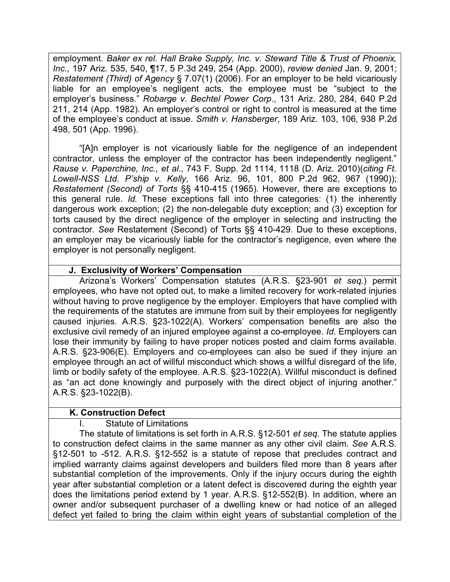employment. *Baker ex rel. Hall Brake Supply, Inc. v. Steward Title & Trust of Phoenix, Inc.,* 197 Ariz. 535, 540, ¶17, 5 P.3d 249, 254 (App. 2000), *review denied* Jan. 9, 2001; *Restatement (Third) of Agency* § 7.07(1) (2006). For an employer to be held vicariously liable for an employee's negligent acts, the employee must be "subject to the employer's business." *Robarge v. Bechtel Power Corp*., 131 Ariz. 280, 284, 640 P.2d 211, 214 (App. 1982). An employer's control or right to control is measured at the time of the employee's conduct at issue. *Smith v. Hansberger*, 189 Ariz. 103, 106, 938 P.2d 498, 501 (App. 1996).

"[A]n employer is not vicariously liable for the negligence of an independent contractor, unless the employer of the contractor has been independently negligent." *Rause v. Paperchine, Inc., et al*., 743 F. Supp. 2d 1114, 1118 (D. Ariz. 2010)(*citing Ft. Lowell-NSS Ltd. P'ship v. Kelly*, 166 Ariz. 96, 101, 800 P.2d 962, 967 (1990)); *Restatement (Second) of Torts* §§ 410-415 (1965). However, there are exceptions to this general rule. *Id.* These exceptions fall into three categories: (1) the inherently dangerous work exception; (2) the non-delegable duty exception; and (3) exception for torts caused by the direct negligence of the employer in selecting and instructing the contractor. *See* Restatement (Second) of Torts §§ 410-429. Due to these exceptions, an employer may be vicariously liable for the contractor's negligence, even where the employer is not personally negligent.

## **J. Exclusivity of Workers' Compensation**

Arizona's Workers' Compensation statutes (A.R.S. §23-901 *et seq.*) permit employees, who have not opted out, to make a limited recovery for work-related injuries without having to prove negligence by the employer. Employers that have complied with the requirements of the statutes are immune from suit by their employees for negligently caused injuries. A.R.S. §23-1022(A). Workers' compensation benefits are also the exclusive civil remedy of an injured employee against a co-employee. *Id*. Employers can lose their immunity by failing to have proper notices posted and claim forms available. A.R.S. §23-906(E). Employers and co-employees can also be sued if they injure an employee through an act of willful misconduct which shows a willful disregard of the life, limb or bodily safety of the employee. A.R.S. §23-1022(A). Willful misconduct is defined as "an act done knowingly and purposely with the direct object of injuring another." A.R.S. §23-1022(B).

## **K. Construction Defect**

## I. Statute of Limitations

The statute of limitations is set forth in A.R.S. §12-501 *et seq*. The statute applies to construction defect claims in the same manner as any other civil claim. *See* A.R.S. §12-501 to -512. A.R.S. §12-552 is a statute of repose that precludes contract and implied warranty claims against developers and builders filed more than 8 years after substantial completion of the improvements. Only if the injury occurs during the eighth year after substantial completion or a latent defect is discovered during the eighth year does the limitations period extend by 1 year. A.R.S. §12-552(B). In addition, where an owner and/or subsequent purchaser of a dwelling knew or had notice of an alleged defect yet failed to bring the claim within eight years of substantial completion of the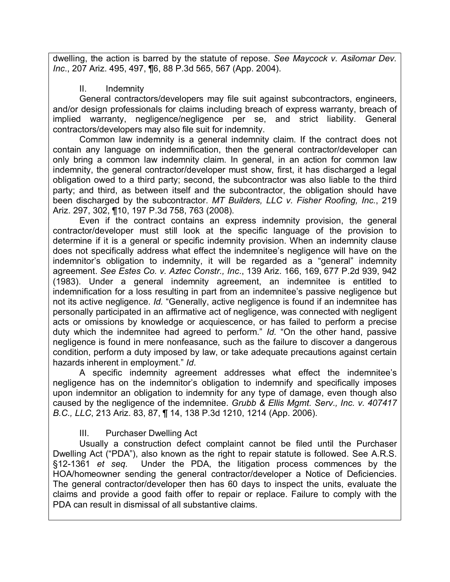dwelling, the action is barred by the statute of repose. *See Maycock v. Asilomar Dev. Inc*., 207 Ariz. 495, 497, ¶6, 88 P.3d 565, 567 (App. 2004).

## II. Indemnity

General contractors/developers may file suit against subcontractors, engineers, and/or design professionals for claims including breach of express warranty, breach of implied warranty, negligence/negligence per se, and strict liability. General contractors/developers may also file suit for indemnity.

Common law indemnity is a general indemnity claim. If the contract does not contain any language on indemnification, then the general contractor/developer can only bring a common law indemnity claim. In general, in an action for common law indemnity, the general contractor/developer must show, first, it has discharged a legal obligation owed to a third party; second, the subcontractor was also liable to the third party; and third, as between itself and the subcontractor, the obligation should have been discharged by the subcontractor. *MT Builders, LLC v. Fisher Roofing, Inc.*, 219 Ariz. 297, 302, ¶10, 197 P.3d 758, 763 (2008).

Even if the contract contains an express indemnity provision, the general contractor/developer must still look at the specific language of the provision to determine if it is a general or specific indemnity provision. When an indemnity clause does not specifically address what effect the indemnitee's negligence will have on the indemnitor's obligation to indemnity, it will be regarded as a "general" indemnity agreement. *See Estes Co. v. Aztec Constr., Inc*., 139 Ariz. 166, 169, 677 P.2d 939, 942 (1983). Under a general indemnity agreement, an indemnitee is entitled to indemnification for a loss resulting in part from an indemnitee's passive negligence but not its active negligence. *Id.* "Generally, active negligence is found if an indemnitee has personally participated in an affirmative act of negligence, was connected with negligent acts or omissions by knowledge or acquiescence, or has failed to perform a precise duty which the indemnitee had agreed to perform." *Id.* "On the other hand, passive negligence is found in mere nonfeasance, such as the failure to discover a dangerous condition, perform a duty imposed by law, or take adequate precautions against certain hazards inherent in employment." *Id*.

A specific indemnity agreement addresses what effect the indemnitee's negligence has on the indemnitor's obligation to indemnify and specifically imposes upon indemnitor an obligation to indemnity for any type of damage, even though also caused by the negligence of the indemnitee. *Grubb & Ellis Mgmt. Serv., Inc. v. 407417 B.C., LLC*, 213 Ariz. 83, 87, ¶ 14, 138 P.3d 1210, 1214 (App. 2006).

# III. Purchaser Dwelling Act

Usually a construction defect complaint cannot be filed until the Purchaser Dwelling Act ("PDA"), also known as the right to repair statute is followed. See A.R.S. §12-1361 *et seq*. Under the PDA, the litigation process commences by the HOA/homeowner sending the general contractor/developer a Notice of Deficiencies. The general contractor/developer then has 60 days to inspect the units, evaluate the claims and provide a good faith offer to repair or replace. Failure to comply with the PDA can result in dismissal of all substantive claims.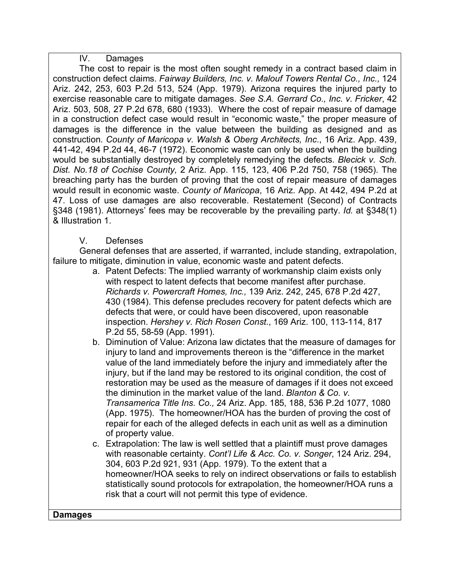IV. Damages

The cost to repair is the most often sought remedy in a contract based claim in construction defect claims. *Fairway Builders, Inc. v. Malouf Towers Rental Co., Inc.,* 124 Ariz. 242, 253, 603 P.2d 513, 524 (App. 1979). Arizona requires the injured party to exercise reasonable care to mitigate damages. *See S.A. Gerrard Co., Inc. v. Fricker*, 42 Ariz. 503, 508, 27 P.2d 678, 680 (1933). Where the cost of repair measure of damage in a construction defect case would result in "economic waste," the proper measure of damages is the difference in the value between the building as designed and as construction. *County of Maricopa v. Walsh & Oberg Architects, Inc*., 16 Ariz. App. 439, 441-42, 494 P.2d 44, 46-7 (1972). Economic waste can only be used when the building would be substantially destroyed by completely remedying the defects. *Blecick v. Sch. Dist. No.18 of Cochise County,* 2 Ariz. App. 115, 123, 406 P.2d 750, 758 (1965). The breaching party has the burden of proving that the cost of repair measure of damages would result in economic waste. *County of Maricopa*, 16 Ariz. App. At 442, 494 P.2d at 47. Loss of use damages are also recoverable. Restatement (Second) of Contracts §348 (1981). Attorneys' fees may be recoverable by the prevailing party. *Id.* at §348(1) & Illustration 1.

V. Defenses

General defenses that are asserted, if warranted, include standing, extrapolation, failure to mitigate, diminution in value, economic waste and patent defects.

- a. Patent Defects: The implied warranty of workmanship claim exists only with respect to latent defects that become manifest after purchase. *Richards v. Powercraft Homes, Inc.,* 139 Ariz. 242, 245, 678 P.2d 427, 430 (1984). This defense precludes recovery for patent defects which are defects that were, or could have been discovered, upon reasonable inspection. *Hershey v. Rich Rosen Const*., 169 Ariz. 100, 113-114, 817 P.2d 55, 58-59 (App. 1991).
- b. Diminution of Value: Arizona law dictates that the measure of damages for injury to land and improvements thereon is the "difference in the market value of the land immediately before the injury and immediately after the injury, but if the land may be restored to its original condition, the cost of restoration may be used as the measure of damages if it does not exceed the diminution in the market value of the land. *Blanton & Co. v. Transamerica Title Ins. Co.,* 24 Ariz. App. 185, 188, 536 P.2d 1077, 1080 (App. 1975). The homeowner/HOA has the burden of proving the cost of repair for each of the alleged defects in each unit as well as a diminution of property value.
- c. Extrapolation: The law is well settled that a plaintiff must prove damages with reasonable certainty. *Cont'l Life & Acc. Co. v. Songer*, 124 Ariz. 294, 304, 603 P.2d 921, 931 (App. 1979). To the extent that a homeowner/HOA seeks to rely on indirect observations or fails to establish statistically sound protocols for extrapolation, the homeowner/HOA runs a risk that a court will not permit this type of evidence.

## **Damages**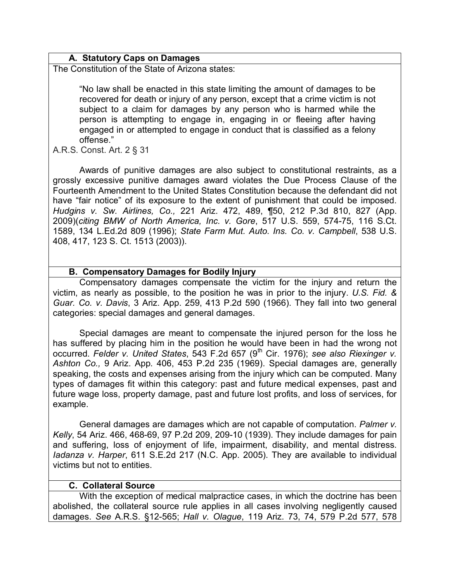### **A. Statutory Caps on Damages**

The Constitution of the State of Arizona states:

"No law shall be enacted in this state limiting the amount of damages to be recovered for death or injury of any person, except that a crime victim is not subject to a claim for damages by any person who is harmed while the person is attempting to engage in, engaging in or fleeing after having engaged in or attempted to engage in conduct that is classified as a felony offense."

A.R.S. Const. Art. 2 § 31

Awards of punitive damages are also subject to constitutional restraints, as a grossly excessive punitive damages award violates the Due Process Clause of the Fourteenth Amendment to the United States Constitution because the defendant did not have "fair notice" of its exposure to the extent of punishment that could be imposed. *Hudgins v. Sw. Airlines, Co.,* 221 Ariz. 472, 489, ¶50, 212 P.3d 810, 827 (App. 2009)(*citing BMW of North America, Inc. v. Gore*, 517 U.S. 559, 574-75, 116 S.Ct. 1589, 134 L.Ed.2d 809 (1996); *State Farm Mut. Auto. Ins. Co. v. Campbell*, 538 U.S. 408, 417, 123 S. Ct. 1513 (2003)).

### **B. Compensatory Damages for Bodily Injury**

Compensatory damages compensate the victim for the injury and return the victim, as nearly as possible, to the position he was in prior to the injury. *U.S. Fid. & Guar. Co. v. Davis*, 3 Ariz. App. 259, 413 P.2d 590 (1966). They fall into two general categories: special damages and general damages.

Special damages are meant to compensate the injured person for the loss he has suffered by placing him in the position he would have been in had the wrong not occurred. Felder v. United States, 543 F.2d 657 (9<sup>th</sup> Cir. 1976); see also Riexinger v. *Ashton Co.,* 9 Ariz. App. 406, 453 P.2d 235 (1969). Special damages are, generally speaking, the costs and expenses arising from the injury which can be computed. Many types of damages fit within this category: past and future medical expenses, past and future wage loss, property damage, past and future lost profits, and loss of services, for example.

General damages are damages which are not capable of computation. *Palmer v. Kelly*, 54 Ariz. 466, 468-69, 97 P.2d 209, 209-10 (1939). They include damages for pain and suffering, loss of enjoyment of life, impairment, disability, and mental distress. *Iadanza v. Harper*, 611 S.E.2d 217 (N.C. App. 2005). They are available to individual victims but not to entities.

#### **C. Collateral Source**

With the exception of medical malpractice cases, in which the doctrine has been abolished, the collateral source rule applies in all cases involving negligently caused damages. *See* A.R.S. §12-565; *Hall v. Olague*, 119 Ariz. 73, 74, 579 P.2d 577, 578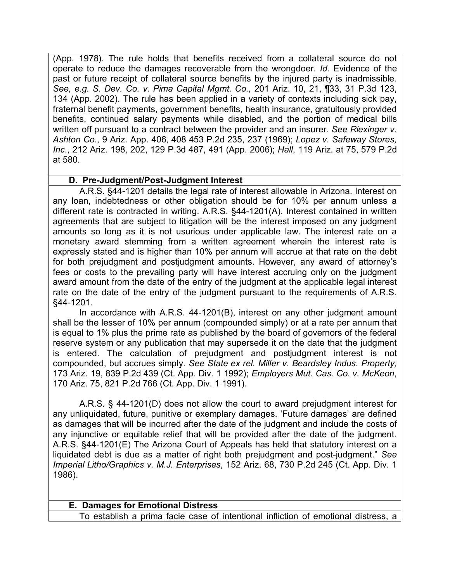(App. 1978). The rule holds that benefits received from a collateral source do not operate to reduce the damages recoverable from the wrongdoer. *Id.* Evidence of the past or future receipt of collateral source benefits by the injured party is inadmissible. *See, e.g. S. Dev. Co. v. Pima Capital Mgmt. Co.,* 201 Ariz. 10, 21, ¶33, 31 P.3d 123, 134 (App. 2002). The rule has been applied in a variety of contexts including sick pay, fraternal benefit payments, government benefits, health insurance, gratuitously provided benefits, continued salary payments while disabled, and the portion of medical bills written off pursuant to a contract between the provider and an insurer. *See Riexinger v. Ashton Co.*, 9 Ariz. App. 406, 408 453 P.2d 235, 237 (1969); *Lopez v. Safeway Stores, Inc*., 212 Ariz. 198, 202, 129 P.3d 487, 491 (App. 2006); *Hall*, 119 Ariz. at 75, 579 P.2d at 580.

## **D. Pre-Judgment/Post-Judgment Interest**

A.R.S. §44-1201 details the legal rate of interest allowable in Arizona. Interest on any loan, indebtedness or other obligation should be for 10% per annum unless a different rate is contracted in writing. A.R.S. §44-1201(A). Interest contained in written agreements that are subject to litigation will be the interest imposed on any judgment amounts so long as it is not usurious under applicable law. The interest rate on a monetary award stemming from a written agreement wherein the interest rate is expressly stated and is higher than 10% per annum will accrue at that rate on the debt for both prejudgment and postjudgment amounts. However, any award of attorney's fees or costs to the prevailing party will have interest accruing only on the judgment award amount from the date of the entry of the judgment at the applicable legal interest rate on the date of the entry of the judgment pursuant to the requirements of A.R.S. §44-1201.

In accordance with A.R.S. 44-1201(B), interest on any other judgment amount shall be the lesser of 10% per annum (compounded simply) or at a rate per annum that is equal to 1% plus the prime rate as published by the board of governors of the federal reserve system or any publication that may supersede it on the date that the judgment is entered. The calculation of prejudgment and postjudgment interest is not compounded, but accrues simply. *See State ex rel. Miller v. Beardsley Indus. Property,* 173 Ariz. 19, 839 P.2d 439 (Ct. App. Div. 1 1992); *Employers Mut. Cas. Co. v. McKeon*, 170 Ariz. 75, 821 P.2d 766 (Ct. App. Div. 1 1991).

A.R.S. § 44-1201(D) does not allow the court to award prejudgment interest for any unliquidated, future, punitive or exemplary damages. 'Future damages' are defined as damages that will be incurred after the date of the judgment and include the costs of any injunctive or equitable relief that will be provided after the date of the judgment. A.R.S. §44-1201(E) The Arizona Court of Appeals has held that statutory interest on a liquidated debt is due as a matter of right both prejudgment and post-judgment." *See Imperial Litho/Graphics v. M.J. Enterprises*, 152 Ariz. 68, 730 P.2d 245 (Ct. App. Div. 1 1986).

# **E. Damages for Emotional Distress**

To establish a prima facie case of intentional infliction of emotional distress, a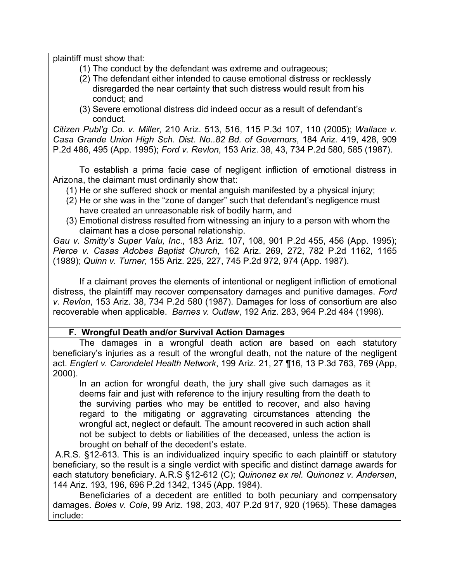plaintiff must show that:

- (1) The conduct by the defendant was extreme and outrageous;
- (2) The defendant either intended to cause emotional distress or recklessly disregarded the near certainty that such distress would result from his conduct; and
- (3) Severe emotional distress did indeed occur as a result of defendant's conduct.

*Citizen Publ'g Co. v. Miller,* 210 Ariz. 513, 516, 115 P.3d 107, 110 (2005); *Wallace v. Casa Grande Union High Sch. Dist. No..82 Bd. of Governors*, 184 Ariz. 419, 428, 909 P.2d 486, 495 (App. 1995); *Ford v. Revlon*, 153 Ariz. 38, 43, 734 P.2d 580, 585 (1987).

To establish a prima facie case of negligent infliction of emotional distress in Arizona, the claimant must ordinarily show that:

- (1) He or she suffered shock or mental anguish manifested by a physical injury;
- (2) He or she was in the "zone of danger" such that defendant's negligence must have created an unreasonable risk of bodily harm, and
- (3) Emotional distress resulted from witnessing an injury to a person with whom the claimant has a close personal relationship.

*Gau v. Smitty's Super Valu, Inc*., 183 Ariz. 107, 108, 901 P.2d 455, 456 (App. 1995); *Pierce v. Casas Adobes Baptist Church*, 162 Ariz. 269, 272, 782 P.2d 1162, 1165 (1989); *Quinn v. Turner*, 155 Ariz. 225, 227, 745 P.2d 972, 974 (App. 1987).

If a claimant proves the elements of intentional or negligent infliction of emotional distress, the plaintiff may recover compensatory damages and punitive damages. *Ford v. Revlon*, 153 Ariz. 38, 734 P.2d 580 (1987). Damages for loss of consortium are also recoverable when applicable. *Barnes v. Outlaw*, 192 Ariz. 283, 964 P.2d 484 (1998).

## **F. Wrongful Death and/or Survival Action Damages**

The damages in a wrongful death action are based on each statutory beneficiary's injuries as a result of the wrongful death, not the nature of the negligent act. *Englert v. Carondelet Health Network*, 199 Ariz. 21, 27 ¶16, 13 P.3d 763, 769 (App, 2000).

In an action for wrongful death, the jury shall give such damages as it deems fair and just with reference to the injury resulting from the death to the surviving parties who may be entitled to recover, and also having regard to the mitigating or aggravating circumstances attending the wrongful act, neglect or default. The amount recovered in such action shall not be subject to debts or liabilities of the deceased, unless the action is brought on behalf of the decedent's estate.

 A.R.S. §12-613. This is an individualized inquiry specific to each plaintiff or statutory beneficiary, so the result is a single verdict with specific and distinct damage awards for each statutory beneficiary. A.R.S §12-612 (C); *Quinonez ex rel. Quinonez v. Andersen*, 144 Ariz. 193, 196, 696 P.2d 1342, 1345 (App. 1984).

Beneficiaries of a decedent are entitled to both pecuniary and compensatory damages. *Boies v. Cole*, 99 Ariz. 198, 203, 407 P.2d 917, 920 (1965). These damages include: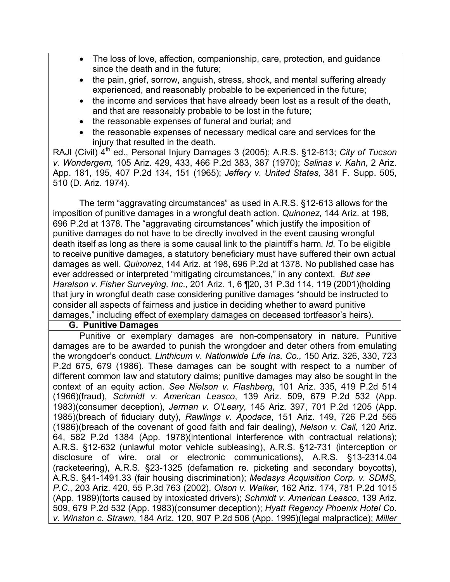- The loss of love, affection, companionship, care, protection, and guidance since the death and in the future;
- the pain, grief, sorrow, anguish, stress, shock, and mental suffering already experienced, and reasonably probable to be experienced in the future;
- $\bullet$  the income and services that have already been lost as a result of the death, and that are reasonably probable to be lost in the future;
- the reasonable expenses of funeral and burial; and
- the reasonable expenses of necessary medical care and services for the injury that resulted in the death.

RAJI (Civil) 4<sup>th</sup> ed., Personal Injury Damages 3 (2005); A.R.S. §12-613; *City of Tucson v. Wondergem,* 105 Ariz. 429, 433, 466 P.2d 383, 387 (1970); *Salinas v. Kahn*, 2 Ariz. App. 181, 195, 407 P.2d 134, 151 (1965); *Jeffery v. United States,* 381 F. Supp. 505, 510 (D. Ariz. 1974).

The term "aggravating circumstances" as used in A.R.S. §12-613 allows for the imposition of punitive damages in a wrongful death action. *Quinonez*, 144 Ariz. at 198, 696 P.2d at 1378. The "aggravating circumstances" which justify the imposition of punitive damages do not have to be directly involved in the event causing wrongful death itself as long as there is some causal link to the plaintiff's harm. *Id.* To be eligible to receive punitive damages, a statutory beneficiary must have suffered their own actual damages as well. *Quinonez*, 144 Ariz. at 198, 696 P.2d at 1378. No published case has ever addressed or interpreted "mitigating circumstances," in any context. *But see Haralson v. Fisher Surveying, Inc*., 201 Ariz. 1, 6 ¶20, 31 P.3d 114, 119 (2001)(holding that jury in wrongful death case considering punitive damages "should be instructed to consider all aspects of fairness and justice in deciding whether to award punitive damages," including effect of exemplary damages on deceased tortfeasor's heirs).

**G. Punitive Damages**

Punitive or exemplary damages are non-compensatory in nature. Punitive damages are to be awarded to punish the wrongdoer and deter others from emulating the wrongdoer's conduct. *Linthicum v. Nationwide Life Ins. Co.,* 150 Ariz. 326, 330, 723 P.2d 675, 679 (1986). These damages can be sought with respect to a number of different common law and statutory claims; punitive damages may also be sought in the context of an equity action. *See Nielson v. Flashberg*, 101 Ariz. 335, 419 P.2d 514 (1966)(fraud), *Schmidt v. American Leasco*, 139 Ariz. 509, 679 P.2d 532 (App. 1983)(consumer deception), *Jerman v. O'Leary*, 145 Ariz. 397, 701 P.2d 1205 (App. 1985)(breach of fiduciary duty), *Rawlings v. Apodaca*, 151 Ariz. 149, 726 P.2d 565 (1986)(breach of the covenant of good faith and fair dealing), *Nelson v. Cail*, 120 Ariz. 64, 582 P.2d 1384 (App. 1978)(intentional interference with contractual relations); A.R.S. §12-632 (unlawful motor vehicle subleasing), A.R.S. §12-731 (interception or disclosure of wire, oral or electronic communications), A.R.S. §13-2314.04 (racketeering), A.R.S. §23-1325 (defamation re. picketing and secondary boycotts), A.R.S. §41-1491.33 (fair housing discrimination); *Medasys Acquisition Corp. v. SDMS, P.C*., 203 Ariz. 420, 55 P.3d 763 (2002). *Olson v. Walker*, 162 Ariz. 174, 781 P.2d 1015 (App. 1989)(torts caused by intoxicated drivers); *Schmidt v. American Leasco*, 139 Ariz. 509, 679 P.2d 532 (App. 1983)(consumer deception); *Hyatt Regency Phoenix Hotel Co. v. Winston c. Strawn,* 184 Ariz. 120, 907 P.2d 506 (App. 1995)(legal malpractice); *Miller*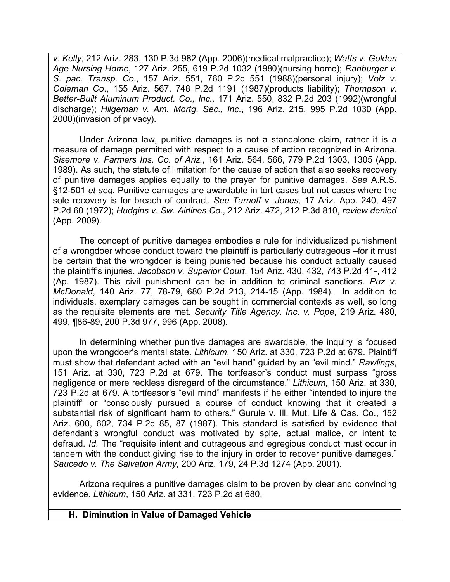*v. Kelly*, 212 Ariz. 283, 130 P.3d 982 (App. 2006)(medical malpractice); *Watts v. Golden Age Nursing Home*, 127 Ariz. 255, 619 P.2d 1032 (1980)(nursing home); *Ranburger v. S. pac. Transp. Co.*, 157 Ariz. 551, 760 P.2d 551 (1988)(personal injury); *Volz v. Coleman Co*., 155 Ariz. 567, 748 P.2d 1191 (1987)(products liability); *Thompson v. Better-Built Aluminum Product. Co., Inc.,* 171 Ariz. 550, 832 P.2d 203 (1992)(wrongful discharge); *Hilgeman v. Am. Mortg. Sec., Inc*., 196 Ariz. 215, 995 P.2d 1030 (App. 2000)(invasion of privacy).

Under Arizona law, punitive damages is not a standalone claim, rather it is a measure of damage permitted with respect to a cause of action recognized in Arizona. *Sisemore v. Farmers Ins. Co. of Ariz*., 161 Ariz. 564, 566, 779 P.2d 1303, 1305 (App. 1989). As such, the statute of limitation for the cause of action that also seeks recovery of punitive damages applies equally to the prayer for punitive damages. *See* A.R.S. §12-501 *et seq.* Punitive damages are awardable in tort cases but not cases where the sole recovery is for breach of contract. *See Tarnoff v. Jones*, 17 Ariz. App. 240, 497 P.2d 60 (1972); *Hudgins v. Sw. Airlines Co*., 212 Ariz. 472, 212 P.3d 810, *review denied* (App. 2009).

The concept of punitive damages embodies a rule for individualized punishment of a wrongdoer whose conduct toward the plaintiff is particularly outrageous –for it must be certain that the wrongdoer is being punished because his conduct actually caused the plaintiff's injuries. *Jacobson v. Superior Court*, 154 Ariz. 430, 432, 743 P.2d 41-, 412 (Ap. 1987). This civil punishment can be in addition to criminal sanctions. *Puz v. McDonald*, 140 Ariz. 77, 78-79, 680 P.2d 213, 214-15 (App. 1984). In addition to individuals, exemplary damages can be sought in commercial contexts as well, so long as the requisite elements are met. *Security Title Agency, Inc. v. Pope*, 219 Ariz. 480, 499, ¶86-89, 200 P.3d 977, 996 (App. 2008).

In determining whether punitive damages are awardable, the inquiry is focused upon the wrongdoer's mental state. *Lithicum*, 150 Ariz. at 330, 723 P.2d at 679. Plaintiff must show that defendant acted with an "evil hand" guided by an "evil mind." *Rawlings*, 151 Ariz. at 330, 723 P.2d at 679. The tortfeasor's conduct must surpass "gross negligence or mere reckless disregard of the circumstance." *Lithicum*, 150 Ariz. at 330, 723 P.2d at 679. A tortfeasor's "evil mind" manifests if he either "intended to injure the plaintiff" or "consciously pursued a course of conduct knowing that it created a substantial risk of significant harm to others." Gurule v. Ill. Mut. Life & Cas. Co., 152 Ariz. 600, 602, 734 P.2d 85, 87 (1987). This standard is satisfied by evidence that defendant's wrongful conduct was motivated by spite, actual malice, or intent to defraud. *Id.* The "requisite intent and outrageous and egregious conduct must occur in tandem with the conduct giving rise to the injury in order to recover punitive damages." *Saucedo v. The Salvation Army,* 200 Ariz. 179, 24 P.3d 1274 (App. 2001).

Arizona requires a punitive damages claim to be proven by clear and convincing evidence. *Lithicum*, 150 Ariz. at 331, 723 P.2d at 680.

#### **H. Diminution in Value of Damaged Vehicle**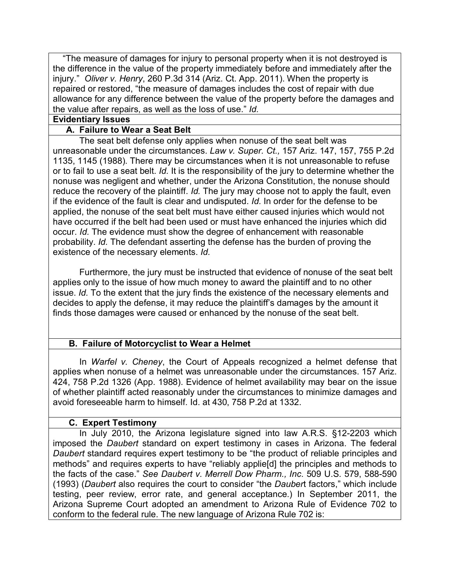"The measure of damages for injury to personal property when it is not destroyed is the difference in the value of the property immediately before and immediately after the injury." *Oliver v. Henry*, 260 P.3d 314 (Ariz. Ct. App. 2011). When the property is repaired or restored, "the measure of damages includes the cost of repair with due allowance for any difference between the value of the property before the damages and the value after repairs, as well as the loss of use." *Id.*

### **Evidentiary Issues**

## **A. Failure to Wear a Seat Belt**

The seat belt defense only applies when nonuse of the seat belt was unreasonable under the circumstances. *Law v. Super. Ct.,* 157 Ariz. 147, 157, 755 P.2d 1135, 1145 (1988). There may be circumstances when it is not unreasonable to refuse or to fail to use a seat belt. *Id.* It is the responsibility of the jury to determine whether the nonuse was negligent and whether, under the Arizona Constitution, the nonuse should reduce the recovery of the plaintiff. *Id.* The jury may choose not to apply the fault, even if the evidence of the fault is clear and undisputed. *Id.* In order for the defense to be applied, the nonuse of the seat belt must have either caused injuries which would not have occurred if the belt had been used or must have enhanced the injuries which did occur. *Id.* The evidence must show the degree of enhancement with reasonable probability. *Id.* The defendant asserting the defense has the burden of proving the existence of the necessary elements. *Id.*

Furthermore, the jury must be instructed that evidence of nonuse of the seat belt applies only to the issue of how much money to award the plaintiff and to no other issue. *Id.* To the extent that the jury finds the existence of the necessary elements and decides to apply the defense, it may reduce the plaintiff's damages by the amount it finds those damages were caused or enhanced by the nonuse of the seat belt.

## **B. Failure of Motorcyclist to Wear a Helmet**

In *Warfel v. Cheney*, the Court of Appeals recognized a helmet defense that applies when nonuse of a helmet was unreasonable under the circumstances. 157 Ariz. 424, 758 P.2d 1326 (App. 1988). Evidence of helmet availability may bear on the issue of whether plaintiff acted reasonably under the circumstances to minimize damages and avoid foreseeable harm to himself. Id. at 430, 758 P.2d at 1332.

## **C. Expert Testimony**

In July 2010, the Arizona legislature signed into law A.R.S. §12-2203 which imposed the *Daubert* standard on expert testimony in cases in Arizona. The federal *Daubert* standard requires expert testimony to be "the product of reliable principles and methods" and requires experts to have "reliably applie[d] the principles and methods to the facts of the case." *See Daubert v. Merrell Dow Pharm., Inc*. 509 U.S. 579, 588-590 (1993) (*Daubert* also requires the court to consider "the *Dauber*t factors," which include testing, peer review, error rate, and general acceptance.) In September 2011, the Arizona Supreme Court adopted an amendment to Arizona Rule of Evidence 702 to conform to the federal rule. The new language of Arizona Rule 702 is: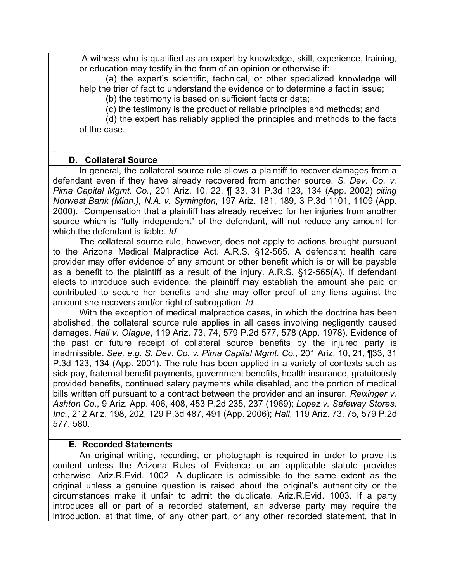A witness who is qualified as an expert by knowledge, skill, experience, training, or education may testify in the form of an opinion or otherwise if:

(a) the expert's scientific, technical, or other specialized knowledge will help the trier of fact to understand the evidence or to determine a fact in issue;

(b) the testimony is based on sufficient facts or data;

(c) the testimony is the product of reliable principles and methods; and

(d) the expert has reliably applied the principles and methods to the facts of the case.

### **D. Collateral Source**

.

In general, the collateral source rule allows a plaintiff to recover damages from a defendant even if they have already recovered from another source. *S. Dev. Co. v. Pima Capital Mgmt. Co.*, 201 Ariz. 10, 22, ¶ 33, 31 P.3d 123, 134 (App. 2002) *citing Norwest Bank (Minn.), N.A. v. Symington*, 197 Ariz. 181, 189, 3 P.3d 1101, 1109 (App. 2000). Compensation that a plaintiff has already received for her injuries from another source which is "fully independent" of the defendant, will not reduce any amount for which the defendant is liable. *Id.*

The collateral source rule, however, does not apply to actions brought pursuant to the Arizona Medical Malpractice Act. A.R.S. §12-565. A defendant health care provider may offer evidence of any amount or other benefit which is or will be payable as a benefit to the plaintiff as a result of the injury. A.R.S. §12-565(A). If defendant elects to introduce such evidence, the plaintiff may establish the amount she paid or contributed to secure her benefits and she may offer proof of any liens against the amount she recovers and/or right of subrogation. *Id.*

With the exception of medical malpractice cases, in which the doctrine has been abolished, the collateral source rule applies in all cases involving negligently caused damages. *Hall v. Olague*, 119 Ariz. 73, 74, 579 P.2d 577, 578 (App. 1978). Evidence of the past or future receipt of collateral source benefits by the injured party is inadmissible. *See, e.g. S. Dev. Co. v. Pima Capital Mgmt. Co.*, 201 Ariz. 10, 21, ¶33, 31 P.3d 123, 134 (App. 2001). The rule has been applied in a variety of contexts such as sick pay, fraternal benefit payments, government benefits, health insurance, gratuitously provided benefits, continued salary payments while disabled, and the portion of medical bills written off pursuant to a contract between the provider and an insurer. *Reixinger v. Ashton Co*., 9 Ariz. App. 406, 408, 453 P.2d 235, 237 (1969); *Lopez v. Safeway Stores, Inc*., 212 Ariz. 198, 202, 129 P.3d 487, 491 (App. 2006); *Hall*, 119 Ariz. 73, 75, 579 P.2d 577, 580.

#### **E. Recorded Statements**

An original writing, recording, or photograph is required in order to prove its content unless the Arizona Rules of Evidence or an applicable statute provides otherwise. Ariz.R.Evid. 1002. A duplicate is admissible to the same extent as the original unless a genuine question is raised about the original's authenticity or the circumstances make it unfair to admit the duplicate. Ariz.R.Evid. 1003. If a party introduces all or part of a recorded statement, an adverse party may require the introduction, at that time, of any other part, or any other recorded statement, that in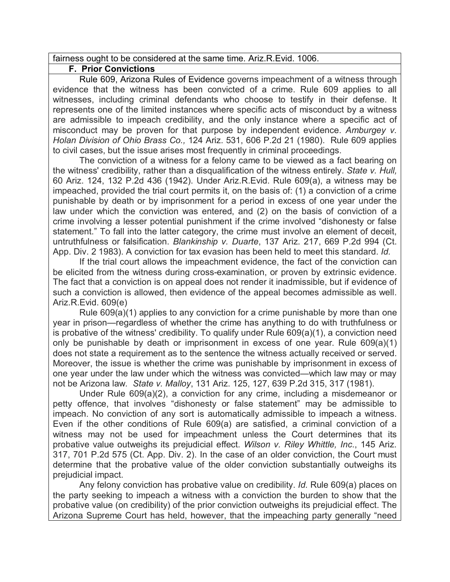#### fairness ought to be considered at the same time. Ariz.R.Evid. 1006.

#### **F. Prior Convictions**

Rule 609, Arizona Rules of Evidence governs impeachment of a witness through evidence that the witness has been convicted of a crime. Rule 609 applies to all witnesses, including criminal defendants who choose to testify in their defense. It represents one of the limited instances where specific acts of misconduct by a witness are admissible to impeach credibility, and the only instance where a specific act of misconduct may be proven for that purpose by independent evidence. *Amburgey v. Holan Division of Ohio Brass Co.,* 124 Ariz. 531, 606 P.2d 21 (1980). Rule 609 applies to civil cases, but the issue arises most frequently in criminal proceedings.

The conviction of a witness for a felony came to be viewed as a fact bearing on the witness' credibility, rather than a disqualification of the witness entirely. *State v. Hull,* 60 Ariz. 124, 132 P.2d 436 (1942). Under Ariz.R.Evid. Rule 609(a), a witness may be impeached, provided the trial court permits it, on the basis of: (1) a conviction of a crime punishable by death or by imprisonment for a period in excess of one year under the law under which the conviction was entered, and (2) on the basis of conviction of a crime involving a lesser potential punishment if the crime involved "dishonesty or false statement." To fall into the latter category, the crime must involve an element of deceit, untruthfulness or falsification. *Blankinship v. Duarte*, 137 Ariz. 217, 669 P.2d 994 (Ct. App. Div. 2 1983). A conviction for tax evasion has been held to meet this standard. *Id.*

If the trial court allows the impeachment evidence, the fact of the conviction can be elicited from the witness during cross-examination, or proven by extrinsic evidence. The fact that a conviction is on appeal does not render it inadmissible, but if evidence of such a conviction is allowed, then evidence of the appeal becomes admissible as well. Ariz.R.Evid. 609(e)

Rule 609(a)(1) applies to any conviction for a crime punishable by more than one year in prison—regardless of whether the crime has anything to do with truthfulness or is probative of the witness' credibility. To qualify under Rule 609(a)(1), a conviction need only be punishable by death or imprisonment in excess of one year. Rule 609(a)(1) does not state a requirement as to the sentence the witness actually received or served. Moreover, the issue is whether the crime was punishable by imprisonment in excess of one year under the law under which the witness was convicted—which law may or may not be Arizona law*. State v. Malloy*, 131 Ariz. 125, 127, 639 P.2d 315, 317 (1981).

Under Rule 609(a)(2), a conviction for any crime, including a misdemeanor or petty offence, that involves "dishonesty or false statement" may be admissible to impeach. No conviction of any sort is automatically admissible to impeach a witness. Even if the other conditions of Rule 609(a) are satisfied, a criminal conviction of a witness may not be used for impeachment unless the Court determines that its probative value outweighs its prejudicial effect. *Wilson v. Riley Whittle, Inc*., 145 Ariz. 317, 701 P.2d 575 (Ct. App. Div. 2). In the case of an older conviction, the Court must determine that the probative value of the older conviction substantially outweighs its prejudicial impact.

Any felony conviction has probative value on credibility. *Id.* Rule 609(a) places on the party seeking to impeach a witness with a conviction the burden to show that the probative value (on credibility) of the prior conviction outweighs its prejudicial effect. The Arizona Supreme Court has held, however, that the impeaching party generally "need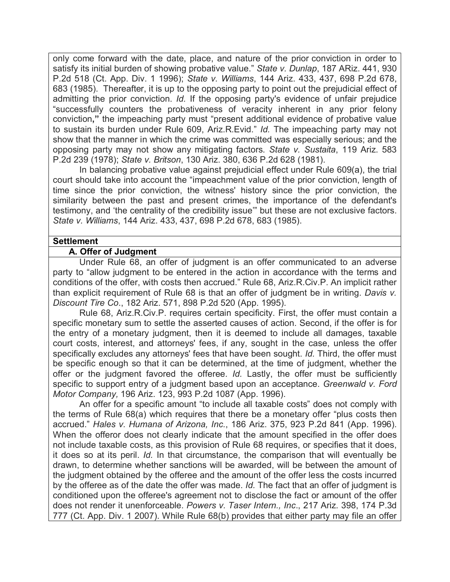only come forward with the date, place, and nature of the prior conviction in order to satisfy its initial burden of showing probative value." *State v. Dunlap*, 187 ARiz. 441, 930 P.2d 518 (Ct. App. Div. 1 1996); *State v. Williams*, 144 Ariz. 433, 437, 698 P.2d 678, 683 (1985). Thereafter, it is up to the opposing party to point out the prejudicial effect of admitting the prior conviction. *Id.* If the opposing party's evidence of unfair prejudice "successfully counters the probativeness of veracity inherent in any prior felony conviction**,"** the impeaching party must "present additional evidence of probative value to sustain its burden under Rule 609, Ariz.R.Evid." *Id.* The impeaching party may not show that the manner in which the crime was committed was especially serious; and the opposing party may not show any mitigating factors. *State v. Sustaita*, 119 Ariz. 583 P.2d 239 (1978); *State v. Britson*, 130 Ariz. 380, 636 P.2d 628 (1981).

In balancing probative value against prejudicial effect under Rule 609(a), the trial court should take into account the "impeachment value of the prior conviction, length of time since the prior conviction, the witness' history since the prior conviction, the similarity between the past and present crimes, the importance of the defendant's testimony, and 'the centrality of the credibility issue'" but these are not exclusive factors. *State v. Williams*, 144 Ariz. 433, 437, 698 P.2d 678, 683 (1985).

#### **Settlement**

#### **A. Offer of Judgment**

Under Rule 68, an offer of judgment is an offer communicated to an adverse party to "allow judgment to be entered in the action in accordance with the terms and conditions of the offer, with costs then accrued." Rule 68, Ariz.R.Civ.P. An implicit rather than explicit requirement of Rule 68 is that an offer of judgment be in writing. *Davis v. Discount Tire Co*., 182 Ariz. 571, 898 P.2d 520 (App. 1995).

Rule 68, Ariz.R.Civ.P. requires certain specificity. First, the offer must contain a specific monetary sum to settle the asserted causes of action. Second, if the offer is for the entry of a monetary judgment, then it is deemed to include all damages, taxable court costs, interest, and attorneys' fees, if any, sought in the case, unless the offer specifically excludes any attorneys' fees that have been sought. *Id.* Third, the offer must be specific enough so that it can be determined, at the time of judgment, whether the offer or the judgment favored the offeree. *Id.* Lastly, the offer must be sufficiently specific to support entry of a judgment based upon an acceptance. *Greenwald v. Ford Motor Company,* 196 Ariz. 123, 993 P.2d 1087 (App. 1996).

An offer for a specific amount "to include all taxable costs" does not comply with the terms of Rule 68(a) which requires that there be a monetary offer "plus costs then accrued." *Hales v. Humana of Arizona, Inc.*, 186 Ariz. 375, 923 P.2d 841 (App. 1996). When the offeror does not clearly indicate that the amount specified in the offer does not include taxable costs, as this provision of Rule 68 requires, or specifies that it does, it does so at its peril. *Id.* In that circumstance, the comparison that will eventually be drawn, to determine whether sanctions will be awarded, will be between the amount of the judgment obtained by the offeree and the amount of the offer less the costs incurred by the offeree as of the date the offer was made. *Id.* The fact that an offer of judgment is conditioned upon the offeree's agreement not to disclose the fact or amount of the offer does not render it unenforceable. *Powers v. Taser Intern., Inc*., 217 Ariz. 398, 174 P.3d 777 (Ct. App. Div. 1 2007). While Rule 68(b) provides that either party may file an offer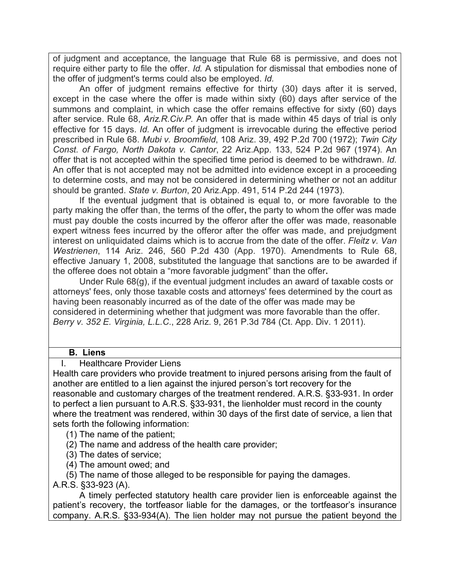of judgment and acceptance, the language that Rule 68 is permissive, and does not require either party to file the offer. *Id.* A stipulation for dismissal that embodies none of the offer of judgment's terms could also be employed. *Id.*

An offer of judgment remains effective for thirty (30) days after it is served, except in the case where the offer is made within sixty (60) days after service of the summons and complaint, in which case the offer remains effective for sixty (60) days after service. Rule 68, *Ariz.R.Civ.P.* An offer that is made within 45 days of trial is only effective for 15 days. *Id.* An offer of judgment is irrevocable during the effective period prescribed in Rule 68. *Mubi v. Broomfield*, 108 Ariz. 39, 492 P.2d 700 (1972); *Twin City Const. of Fargo, North Dakota v. Cantor*, 22 Ariz.App. 133, 524 P.2d 967 (1974). An offer that is not accepted within the specified time period is deemed to be withdrawn. *Id.* An offer that is not accepted may not be admitted into evidence except in a proceeding to determine costs, and may not be considered in determining whether or not an additur should be granted. *State v. Burton*, 20 Ariz.App. 491, 514 P.2d 244 (1973).

If the eventual judgment that is obtained is equal to, or more favorable to the party making the offer than, the terms of the offer**,** the party to whom the offer was made must pay double the costs incurred by the offeror after the offer was made, reasonable expert witness fees incurred by the offeror after the offer was made, and prejudgment interest on unliquidated claims which is to accrue from the date of the offer. *Fleitz v. Van Westrienen*, 114 Ariz. 246, 560 P.2d 430 (App. 1970). Amendments to Rule 68, effective January 1, 2008, substituted the language that sanctions are to be awarded if the offeree does not obtain a "more favorable judgment" than the offer**.**

Under Rule 68(g), if the eventual judgment includes an award of taxable costs or attorneys' fees, only those taxable costs and attorneys' fees determined by the court as having been reasonably incurred as of the date of the offer was made may be considered in determining whether that judgment was more favorable than the offer. *Berry v. 352 E. Virginia, L.L.C*., 228 Ariz. 9, 261 P.3d 784 (Ct. App. Div. 1 2011).

#### **B. Liens**

I. Healthcare Provider Liens

Health care providers who provide treatment to injured persons arising from the fault of another are entitled to a lien against the injured person's tort recovery for the reasonable and customary charges of the treatment rendered. A.R.S. §33-931. In order to perfect a lien pursuant to A.R.S. §33-931, the lienholder must record in the county where the treatment was rendered, within 30 days of the first date of service, a lien that sets forth the following information:

- (1) The name of the patient;
- (2) The name and address of the health care provider;
- (3) The dates of service;
- (4) The amount owed; and

(5) The name of those alleged to be responsible for paying the damages. A.R.S. §33-923 (A).

A timely perfected statutory health care provider lien is enforceable against the patient's recovery, the tortfeasor liable for the damages, or the tortfeasor's insurance company. A.R.S. §33-934(A). The lien holder may not pursue the patient beyond the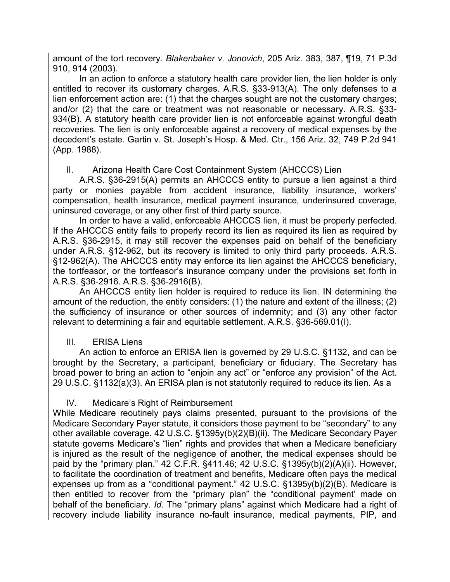amount of the tort recovery. *Blakenbaker v. Jonovich*, 205 Ariz. 383, 387, ¶19, 71 P.3d 910, 914 (2003).

In an action to enforce a statutory health care provider lien, the lien holder is only entitled to recover its customary charges. A.R.S. §33-913(A). The only defenses to a lien enforcement action are: (1) that the charges sought are not the customary charges; and/or (2) that the care or treatment was not reasonable or necessary. A.R.S. §33- 934(B). A statutory health care provider lien is not enforceable against wrongful death recoveries. The lien is only enforceable against a recovery of medical expenses by the decedent's estate. Gartin v. St. Joseph's Hosp. & Med. Ctr., 156 Ariz. 32, 749 P.2d 941 (App. 1988).

II. Arizona Health Care Cost Containment System (AHCCCS) Lien

A.R.S. §36-2915(A) permits an AHCCCS entity to pursue a lien against a third party or monies payable from accident insurance, liability insurance, workers' compensation, health insurance, medical payment insurance, underinsured coverage, uninsured coverage, or any other first of third party source.

In order to have a valid, enforceable AHCCCS lien, it must be properly perfected. If the AHCCCS entity fails to properly record its lien as required its lien as required by A.R.S. §36-2915, it may still recover the expenses paid on behalf of the beneficiary under A.R.S. §12-962, but its recovery is limited to only third party proceeds. A.R.S. §12-962(A). The AHCCCS entity may enforce its lien against the AHCCCS beneficiary, the tortfeasor, or the tortfeasor's insurance company under the provisions set forth in A.R.S. §36-2916. A.R.S. §36-2916(B).

An AHCCCS entity lien holder is required to reduce its lien. IN determining the amount of the reduction, the entity considers: (1) the nature and extent of the illness; (2) the sufficiency of insurance or other sources of indemnity; and (3) any other factor relevant to determining a fair and equitable settlement. A.R.S. §36-569.01(I).

# III. ERISA Liens

An action to enforce an ERISA lien is governed by 29 U.S.C. §1132, and can be brought by the Secretary, a participant, beneficiary or fiduciary. The Secretary has broad power to bring an action to "enjoin any act" or "enforce any provision" of the Act. 29 U.S.C. §1132(a)(3). An ERISA plan is not statutorily required to reduce its lien. As a

# IV. Medicare's Right of Reimbursement

While Medicare reoutinely pays claims presented, pursuant to the provisions of the Medicare Secondary Payer statute, it considers those payment to be "secondary" to any other available coverage. 42 U.S.C. §1395y(b)(2)(B)(ii). The Medicare Secondary Payer statute governs Medicare's "lien" rights and provides that when a Medicare beneficiary is injured as the result of the negligence of another, the medical expenses should be paid by the "primary plan." 42 C.F.R. §411.46; 42 U.S.C. §1395y(b)(2)(A)(ii). However, to facilitate the coordination of treatment and benefits, Medicare often pays the medical expenses up from as a "conditional payment." 42 U.S.C. §1395y(b)(2)(B). Medicare is then entitled to recover from the "primary plan" the "conditional payment' made on behalf of the beneficiary. *Id*. The "primary plans" against which Medicare had a right of recovery include liability insurance no-fault insurance, medical payments, PIP, and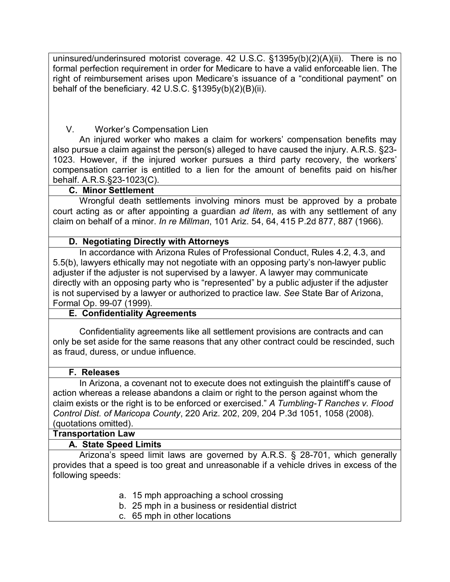uninsured/underinsured motorist coverage. 42 U.S.C. §1395y(b)(2)(A)(ii). There is no formal perfection requirement in order for Medicare to have a valid enforceable lien. The right of reimbursement arises upon Medicare's issuance of a "conditional payment" on behalf of the beneficiary. 42 U.S.C. §1395y(b)(2)(B)(ii).

# V. Worker's Compensation Lien

An injured worker who makes a claim for workers' compensation benefits may also pursue a claim against the person(s) alleged to have caused the injury. A.R.S. §23- 1023. However, if the injured worker pursues a third party recovery, the workers' compensation carrier is entitled to a lien for the amount of benefits paid on his/her behalf. A.R.S.§23-1023(C).

## **C. Minor Settlement**

Wrongful death settlements involving minors must be approved by a probate court acting as or after appointing a guardian *ad litem*, as with any settlement of any claim on behalf of a minor. *In re Millman*, 101 Ariz. 54, 64, 415 P.2d 877, 887 (1966).

# **D. Negotiating Directly with Attorneys**

In accordance with Arizona Rules of Professional Conduct, Rules 4.2, 4.3, and 5.5(b), lawyers ethically may not negotiate with an opposing party's non-lawyer public adjuster if the adjuster is not supervised by a lawyer. A lawyer may communicate directly with an opposing party who is "represented" by a public adjuster if the adjuster is not supervised by a lawyer or authorized to practice law. *See* State Bar of Arizona, Formal Op. 99-07 (1999).

# **E. Confidentiality Agreements**

Confidentiality agreements like all settlement provisions are contracts and can only be set aside for the same reasons that any other contract could be rescinded, such as fraud, duress, or undue influence.

## **F. Releases**

In Arizona, a covenant not to execute does not extinguish the plaintiff's cause of action whereas a release abandons a claim or right to the person against whom the claim exists or the right is to be enforced or exercised." *A Tumbling-T Ranches v. Flood Control Dist. of Maricopa County*, 220 Ariz. 202, 209, 204 P.3d 1051, 1058 (2008). (quotations omitted).

## **Transportation Law**

## **A. State Speed Limits**

Arizona's speed limit laws are governed by A.R.S. § 28-701, which generally provides that a speed is too great and unreasonable if a vehicle drives in excess of the following speeds:

- a. 15 mph approaching a school crossing
- b. 25 mph in a business or residential district
- c. 65 mph in other locations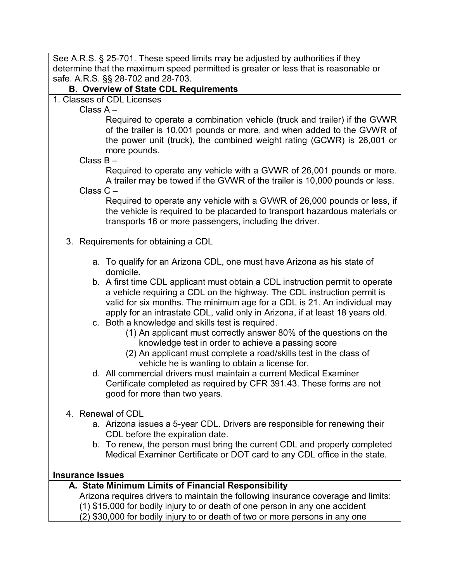See A.R.S. § 25-701. These speed limits may be adjusted by authorities if they determine that the maximum speed permitted is greater or less that is reasonable or safe. A.R.S. §§ 28-702 and 28-703.

## **B. Overview of State CDL Requirements**

1. Classes of CDL Licenses

Class A –

Required to operate a combination vehicle (truck and trailer) if the GVWR of the trailer is 10,001 pounds or more, and when added to the GVWR of the power unit (truck), the combined weight rating (GCWR) is 26,001 or more pounds.

Class B –

Required to operate any vehicle with a GVWR of 26,001 pounds or more. A trailer may be towed if the GVWR of the trailer is 10,000 pounds or less. Class C –

Required to operate any vehicle with a GVWR of 26,000 pounds or less, if the vehicle is required to be placarded to transport hazardous materials or transports 16 or more passengers, including the driver.

- 3. Requirements for obtaining a CDL
	- a. To qualify for an Arizona CDL, one must have Arizona as his state of domicile.
	- b. A first time CDL applicant must obtain a CDL instruction permit to operate a vehicle requiring a CDL on the highway. The CDL instruction permit is valid for six months. The minimum age for a CDL is 21. An individual may apply for an intrastate CDL, valid only in Arizona, if at least 18 years old.
	- c. Both a knowledge and skills test is required.
		- (1) An applicant must correctly answer 80% of the questions on the knowledge test in order to achieve a passing score
		- (2) An applicant must complete a road/skills test in the class of vehicle he is wanting to obtain a license for.
	- d. All commercial drivers must maintain a current Medical Examiner Certificate completed as required by CFR 391.43. These forms are not good for more than two years.
- 4. Renewal of CDL
	- a. Arizona issues a 5-year CDL. Drivers are responsible for renewing their CDL before the expiration date.
	- b. To renew, the person must bring the current CDL and properly completed Medical Examiner Certificate or DOT card to any CDL office in the state.

#### **Insurance Issues**

#### **A. State Minimum Limits of Financial Responsibility**

Arizona requires drivers to maintain the following insurance coverage and limits: (1) \$15,000 for bodily injury to or death of one person in any one accident (2) \$30,000 for bodily injury to or death of two or more persons in any one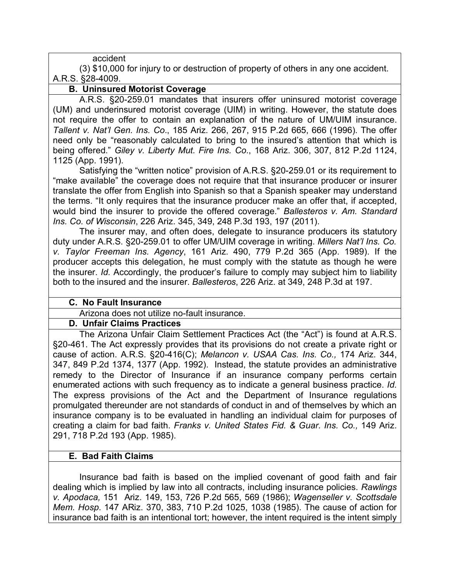accident

(3) \$10,000 for injury to or destruction of property of others in any one accident. A.R.S. §28-4009.

# **B. Uninsured Motorist Coverage**

A.R.S. §20-259.01 mandates that insurers offer uninsured motorist coverage (UM) and underinsured motorist coverage (UIM) in writing. However, the statute does not require the offer to contain an explanation of the nature of UM/UIM insurance. *Tallent v. Nat'l Gen. Ins. Co*., 185 Ariz. 266, 267, 915 P.2d 665, 666 (1996). The offer need only be "reasonably calculated to bring to the insured's attention that which is being offered." *Giley v. Liberty Mut. Fire Ins. Co*., 168 Ariz. 306, 307, 812 P.2d 1124, 1125 (App. 1991).

Satisfying the "written notice" provision of A.R.S. §20-259.01 or its requirement to "make available" the coverage does not require that that insurance producer or insurer translate the offer from English into Spanish so that a Spanish speaker may understand the terms. "It only requires that the insurance producer make an offer that, if accepted, would bind the insurer to provide the offered coverage." *Ballesteros v. Am. Standard Ins. Co. of Wisconsin*, 226 Ariz. 345, 349, 248 P.3d 193, 197 (2011).

The insurer may, and often does, delegate to insurance producers its statutory duty under A.R.S. §20-259.01 to offer UM/UIM coverage in writing. *Millers Nat'l Ins. Co. v. Taylor Freeman Ins. Agency*, 161 Ariz. 490, 779 P.2d 365 (App. 1989). If the producer accepts this delegation, he must comply with the statute as though he were the insurer. *Id.* Accordingly, the producer's failure to comply may subject him to liability both to the insured and the insurer. *Ballesteros*, 226 Ariz. at 349, 248 P.3d at 197.

#### **C. No Fault Insurance**

Arizona does not utilize no-fault insurance.

## **D. Unfair Claims Practices**

The Arizona Unfair Claim Settlement Practices Act (the "Act") is found at A.R.S. §20-461. The Act expressly provides that its provisions do not create a private right or cause of action. A.R.S. §20-416(C); *Melancon v. USAA Cas. Ins. Co.,* 174 Ariz. 344, 347, 849 P.2d 1374, 1377 (App. 1992). Instead, the statute provides an administrative remedy to the Director of Insurance if an insurance company performs certain enumerated actions with such frequency as to indicate a general business practice. *Id.* The express provisions of the Act and the Department of Insurance regulations promulgated thereunder are not standards of conduct in and of themselves by which an insurance company is to be evaluated in handling an individual claim for purposes of creating a claim for bad faith. *Franks v. United States Fid. & Guar. Ins. Co.,* 149 Ariz. 291, 718 P.2d 193 (App. 1985).

#### **E. Bad Faith Claims**

Insurance bad faith is based on the implied covenant of good faith and fair dealing which is implied by law into all contracts, including insurance policies. *Rawlings v. Apodaca,* 151 Ariz. 149, 153, 726 P.2d 565, 569 (1986); *Wagenseller v. Scottsdale Mem. Hosp*. 147 ARiz. 370, 383, 710 P.2d 1025, 1038 (1985). The cause of action for insurance bad faith is an intentional tort; however, the intent required is the intent simply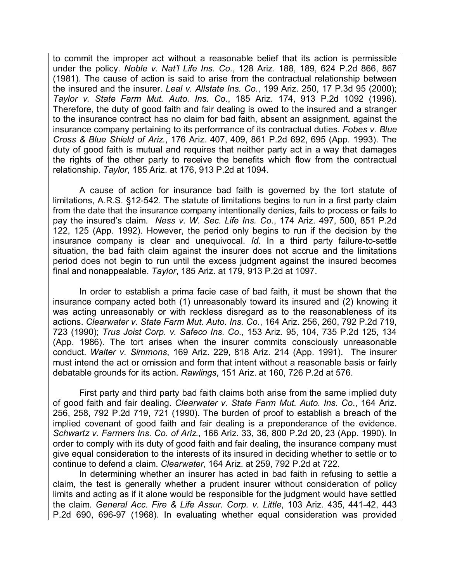to commit the improper act without a reasonable belief that its action is permissible under the policy. *Noble v. Nat'l Life Ins. Co.*, 128 Ariz. 188, 189, 624 P.2d 866, 867 (1981). The cause of action is said to arise from the contractual relationship between the insured and the insurer. *Leal v. Allstate Ins. Co*., 199 Ariz. 250, 17 P.3d 95 (2000); *Taylor v. State Farm Mut. Auto. Ins. Co*., 185 Ariz. 174, 913 P.2d 1092 (1996). Therefore, the duty of good faith and fair dealing is owed to the insured and a stranger to the insurance contract has no claim for bad faith, absent an assignment, against the insurance company pertaining to its performance of its contractual duties. *Fobes v. Blue Cross & Blue Shield of Ariz.*, 176 Ariz. 407, 409, 861 P.2d 692, 695 (App. 1993). The duty of good faith is mutual and requires that neither party act in a way that damages the rights of the other party to receive the benefits which flow from the contractual relationship. *Taylor*, 185 Ariz. at 176, 913 P.2d at 1094.

A cause of action for insurance bad faith is governed by the tort statute of limitations, A.R.S. §12-542. The statute of limitations begins to run in a first party claim from the date that the insurance company intentionally denies, fails to process or fails to pay the insured's claim. *Ness v. W. Sec. Life Ins. Co*., 174 Ariz. 497, 500, 851 P.2d 122, 125 (App. 1992). However, the period only begins to run if the decision by the insurance company is clear and unequivocal. *Id.* In a third party failure-to-settle situation, the bad faith claim against the insurer does not accrue and the limitations period does not begin to run until the excess judgment against the insured becomes final and nonappealable. *Taylor*, 185 Ariz. at 179, 913 P.2d at 1097.

In order to establish a prima facie case of bad faith, it must be shown that the insurance company acted both (1) unreasonably toward its insured and (2) knowing it was acting unreasonably or with reckless disregard as to the reasonableness of its actions. *Clearwater v. State Farm Mut. Auto. Ins. Co*., 164 Ariz. 256, 260, 792 P.2d 719, 723 (1990); *Trus Joist Corp. v. Safeco Ins. Co*., 153 Ariz. 95, 104, 735 P.2d 125, 134 (App. 1986). The tort arises when the insurer commits consciously unreasonable conduct. *Walter v. Simmons*, 169 Ariz. 229, 818 Ariz. 214 (App. 1991). The insurer must intend the act or omission and form that intent without a reasonable basis or fairly debatable grounds for its action. *Rawlings*, 151 Ariz. at 160, 726 P.2d at 576.

First party and third party bad faith claims both arise from the same implied duty of good faith and fair dealing. *Clearwater v. State Farm Mut. Auto. Ins. Co*., 164 Ariz. 256, 258, 792 P.2d 719, 721 (1990). The burden of proof to establish a breach of the implied covenant of good faith and fair dealing is a preponderance of the evidence. *Schwartz v. Farmers Ins. Co. of Ariz*., 166 Ariz. 33, 36, 800 P.2d 20, 23 (App. 1990). In order to comply with its duty of good faith and fair dealing, the insurance company must give equal consideration to the interests of its insured in deciding whether to settle or to continue to defend a claim. *Clearwater*, 164 Ariz. at 259, 792 P.2d at 722.

In determining whether an insurer has acted in bad faith in refusing to settle a claim, the test is generally whether a prudent insurer without consideration of policy limits and acting as if it alone would be responsible for the judgment would have settled the claim. *General Acc. Fire & Life Assur. Corp. v. Little*, 103 Ariz. 435, 441-42, 443 P.2d 690, 696-97 (1968). In evaluating whether equal consideration was provided